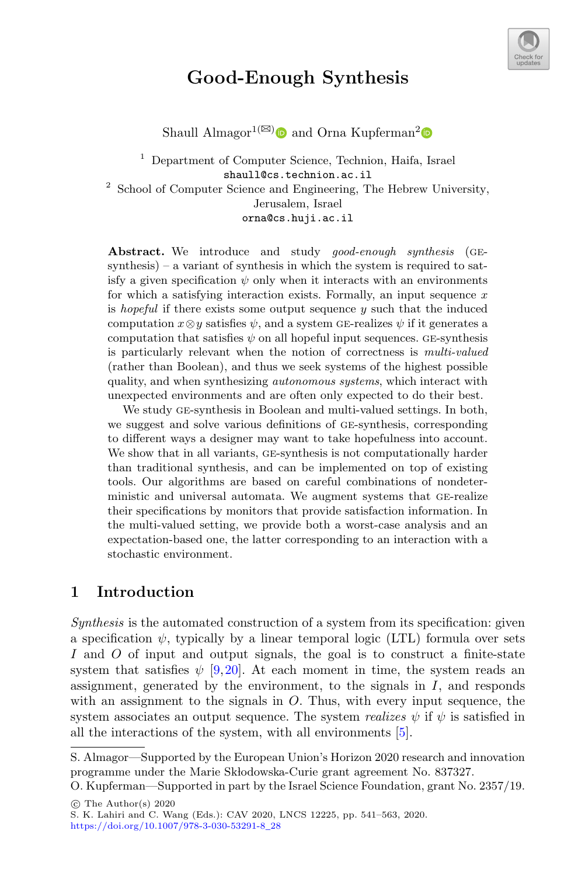# **Good-Enough Synthesis**



Shaull Almagor<sup>1( $\boxtimes$ </sup>[\)](http://orcid.org/0000-0001-9021-1175) and Orna Kupferman<sup>[2](http://orcid.org/0000-0003-4699-6117)</sup>

<sup>1</sup> Department of Computer Science, Technion, Haifa, Israel shaull@cs.technion.ac.il <sup>2</sup> School of Computer Science and Engineering, The Hebrew University, Jerusalem, Israel orna@cs.huji.ac.il

**Abstract.** We introduce and study *good-enough synthesis* (gesynthesis) – a variant of synthesis in which the system is required to satisfy a given specification  $\psi$  only when it interacts with an environments for which a satisfying interaction exists. Formally, an input sequence  $x$ is *hopeful* if there exists some output sequence y such that the induced computation  $x \otimes y$  satisfies  $\psi$ , and a system GE-realizes  $\psi$  if it generates a computation that satisfies  $\psi$  on all hopeful input sequences. GE-synthesis is particularly relevant when the notion of correctness is *multi-valued* (rather than Boolean), and thus we seek systems of the highest possible quality, and when synthesizing *autonomous systems*, which interact with unexpected environments and are often only expected to do their best.

We study ge-synthesis in Boolean and multi-valued settings. In both, we suggest and solve various definitions of ge-synthesis, corresponding to different ways a designer may want to take hopefulness into account. We show that in all variants, ge-synthesis is not computationally harder than traditional synthesis, and can be implemented on top of existing tools. Our algorithms are based on careful combinations of nondeterministic and universal automata. We augment systems that ge-realize their specifications by monitors that provide satisfaction information. In the multi-valued setting, we provide both a worst-case analysis and an expectation-based one, the latter corresponding to an interaction with a stochastic environment.

# <span id="page-0-0"></span>**1 Introduction**

*Synthesis* is the automated construction of a system from its specification: given a specification  $\psi$ , typically by a linear temporal logic (LTL) formula over sets I and O of input and output signals, the goal is to construct a finite-state system that satisfies  $\psi$  [\[9](#page-20-0)[,20](#page-21-0)]. At each moment in time, the system reads an assignment, generated by the environment, to the signals in  $I$ , and responds with an assignment to the signals in  $O$ . Thus, with every input sequence, the system associates an output sequence. The system *realizes*  $\psi$  if  $\psi$  is satisfied in all the interactions of the system, with all environments [\[5](#page-20-1)].

S. Almagor—Supported by the European Union's Horizon 2020 research and innovation programme under the Marie Sklodowska-Curie grant agreement No. 837327.

O. Kupferman—Supported in part by the Israel Science Foundation, grant No. 2357/19.  $\odot$  The Author(s) 2020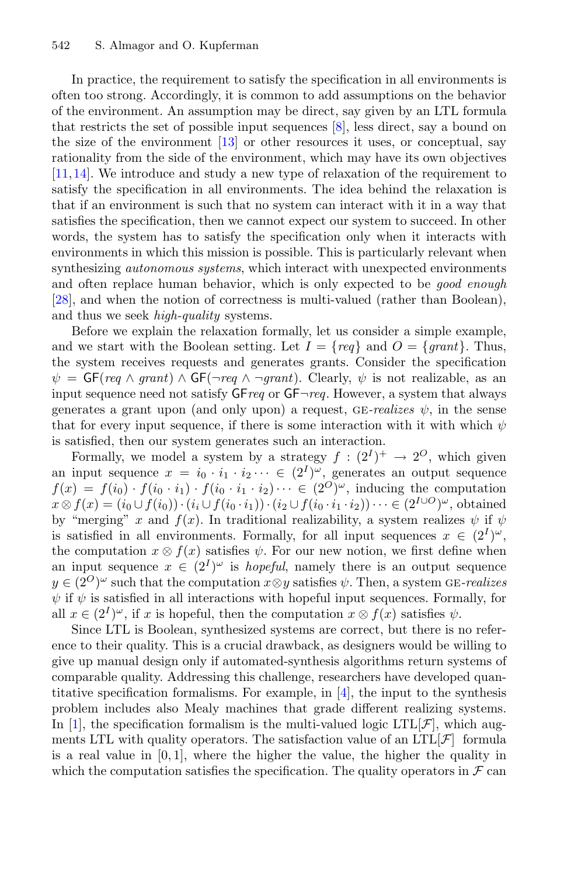In practice, the requirement to satisfy the specification in all environments is often too strong. Accordingly, it is common to add assumptions on the behavior of the environment. An assumption may be direct, say given by an LTL formula that restricts the set of possible input sequences [\[8](#page-20-2)], less direct, say a bound on the size of the environment [\[13](#page-20-3)] or other resources it uses, or conceptual, say rationality from the side of the environment, which may have its own objectives [\[11](#page-20-4),[14\]](#page-21-1). We introduce and study a new type of relaxation of the requirement to satisfy the specification in all environments. The idea behind the relaxation is that if an environment is such that no system can interact with it in a way that satisfies the specification, then we cannot expect our system to succeed. In other words, the system has to satisfy the specification only when it interacts with environments in which this mission is possible. This is particularly relevant when synthesizing *autonomous systems*, which interact with unexpected environments and often replace human behavior, which is only expected to be *good enough* [\[28](#page-21-2)], and when the notion of correctness is multi-valued (rather than Boolean), and thus we seek *high-quality* systems.

Before we explain the relaxation formally, let us consider a simple example, and we start with the Boolean setting. Let  $I = \{req\}$  and  $O = \{grant\}$ . Thus, the system receives requests and generates grants. Consider the specification  $\psi = \mathsf{GF}(req \land qrant) \land \mathsf{GF}(\neg req \land \neg grant)$ . Clearly,  $\psi$  is not realizable, as an input sequence need not satisfy GF*req* or GF¬*req*. However, a system that always generates a grant upon (and only upon) a request,  $GE\text{-}realizes \psi$ , in the sense that for every input sequence, if there is some interaction with it with which  $\psi$ is satisfied, then our system generates such an interaction.

Formally, we model a system by a strategy  $f : (2^I)^+ \rightarrow 2^O$ , which given an input sequence  $x = i_0 \cdot i_1 \cdot i_2 \cdots \in (2^I)^{\omega}$ , generates an output sequence  $f(x) = f(i_0) \cdot f(i_0 \cdot i_1) \cdot f(i_0 \cdot i_1 \cdot i_2) \cdots \in (2^O)^{\omega}$ , inducing the computation  $x \otimes f(x)=(i_0 \cup f(i_0))\cdot(i_i \cup f(i_0 \cdot i_1))\cdot(i_2 \cup f(i_0 \cdot i_1 \cdot i_2))\cdots \in (2^{I\cup O})^{\omega}$ , obtained by "merging" x and  $f(x)$ . In traditional realizability, a system realizes  $\psi$  if  $\psi$ is satisfied in all environments. Formally, for all input sequences  $x \in (2^I)^{\omega}$ , the computation  $x \otimes f(x)$  satisfies  $\psi$ . For our new notion, we first define when an input sequence  $x \in (2^I)^\omega$  is *hopeful*, namely there is an output sequence  $y \in (2^O)^\omega$  such that the computation  $x \otimes y$  satisfies  $\psi$ . Then, a system GE-realizes  $\psi$  if  $\psi$  is satisfied in all interactions with hopeful input sequences. Formally, for all  $x \in (2^I)^{\omega}$ , if x is hopeful, then the computation  $x \otimes f(x)$  satisfies  $\psi$ .

Since LTL is Boolean, synthesized systems are correct, but there is no reference to their quality. This is a crucial drawback, as designers would be willing to give up manual design only if automated-synthesis algorithms return systems of comparable quality. Addressing this challenge, researchers have developed quantitative specification formalisms. For example, in [\[4\]](#page-20-5), the input to the synthesis problem includes also Mealy machines that grade different realizing systems. In [\[1\]](#page-20-6), the specification formalism is the multi-valued logic  $LTL[\mathcal{F}]$ , which augments LTL with quality operators. The satisfaction value of an  $LTL[\mathcal{F}]$  formula is a real value in  $[0, 1]$ , where the higher the value, the higher the quality in which the computation satisfies the specification. The quality operators in  $\mathcal F$  can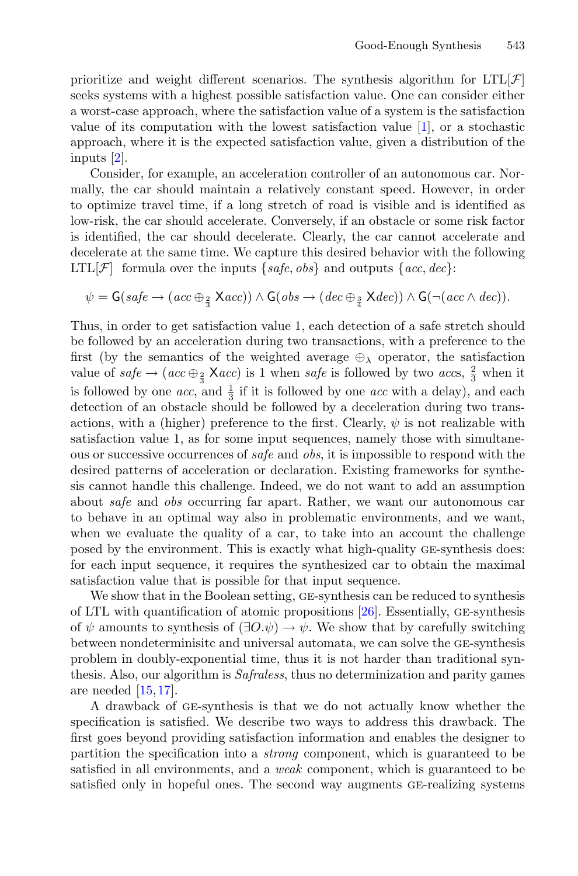prioritize and weight different scenarios. The synthesis algorithm for  $LTL[\mathcal{F}]$ seeks systems with a highest possible satisfaction value. One can consider either a worst-case approach, where the satisfaction value of a system is the satisfaction value of its computation with the lowest satisfaction value  $[1]$  $[1]$ , or a stochastic approach, where it is the expected satisfaction value, given a distribution of the inputs [\[2\]](#page-20-7).

Consider, for example, an acceleration controller of an autonomous car. Normally, the car should maintain a relatively constant speed. However, in order to optimize travel time, if a long stretch of road is visible and is identified as low-risk, the car should accelerate. Conversely, if an obstacle or some risk factor is identified, the car should decelerate. Clearly, the car cannot accelerate and decelerate at the same time. We capture this desired behavior with the following LTL[F] formula over the inputs  $\{safe, obs\}$  and outputs  $\{acc, dec\}$ :

$$
\psi = \mathsf{G}(safe \to (acc \oplus_{\frac{2}{3}} \mathsf{X} acc)) \land \mathsf{G}(obs \to (dec \oplus_{\frac{3}{4}} \mathsf{X} dec)) \land \mathsf{G}(\neg (acc \land dec)).
$$

Thus, in order to get satisfaction value 1, each detection of a safe stretch should be followed by an acceleration during two transactions, with a preference to the first (by the semantics of the weighted average  $\oplus_{\lambda}$  operator, the satisfaction value of  $safe \rightarrow (acc \oplus_{\frac{2}{3}} Xacc)$  is 1 when  $safe$  is followed by two *acc*s,  $\frac{2}{3}$  when it is followed by one  $acc$ , and  $\frac{1}{3}$  if it is followed by one  $acc$  with a delay), and each detection of an obstacle should be followed by a deceleration during two transactions, with a (higher) preference to the first. Clearly,  $\psi$  is not realizable with satisfaction value 1, as for some input sequences, namely those with simultaneous or successive occurrences of *safe* and *obs*, it is impossible to respond with the desired patterns of acceleration or declaration. Existing frameworks for synthesis cannot handle this challenge. Indeed, we do not want to add an assumption about *safe* and *obs* occurring far apart. Rather, we want our autonomous car to behave in an optimal way also in problematic environments, and we want, when we evaluate the quality of a car, to take into an account the challenge posed by the environment. This is exactly what high-quality ge-synthesis does: for each input sequence, it requires the synthesized car to obtain the maximal satisfaction value that is possible for that input sequence.

We show that in the Boolean setting, GE-synthesis can be reduced to synthesis of LTL with quantification of atomic propositions [\[26\]](#page-21-3). Essentially, ge-synthesis of  $\psi$  amounts to synthesis of  $(\exists O.\psi) \rightarrow \psi$ . We show that by carefully switching between nondeterminisitc and universal automata, we can solve the ge-synthesis problem in doubly-exponential time, thus it is not harder than traditional synthesis. Also, our algorithm is *Safraless*, thus no determinization and parity games are needed [\[15](#page-21-4),[17\]](#page-21-5).

A drawback of ge-synthesis is that we do not actually know whether the specification is satisfied. We describe two ways to address this drawback. The first goes beyond providing satisfaction information and enables the designer to partition the specification into a *strong* component, which is guaranteed to be satisfied in all environments, and a *weak* component, which is guaranteed to be satisfied only in hopeful ones. The second way augments ge-realizing systems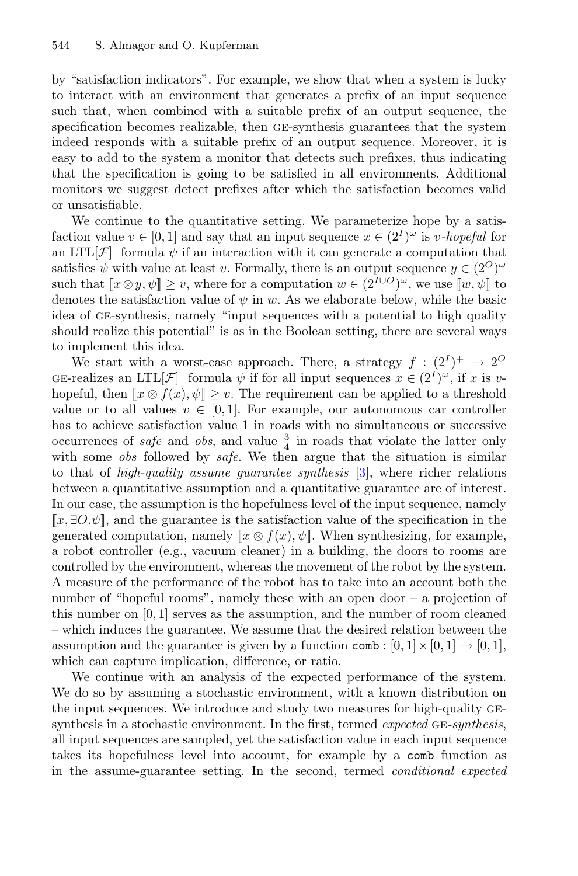by "satisfaction indicators". For example, we show that when a system is lucky to interact with an environment that generates a prefix of an input sequence such that, when combined with a suitable prefix of an output sequence, the specification becomes realizable, then ge-synthesis guarantees that the system indeed responds with a suitable prefix of an output sequence. Moreover, it is easy to add to the system a monitor that detects such prefixes, thus indicating that the specification is going to be satisfied in all environments. Additional monitors we suggest detect prefixes after which the satisfaction becomes valid or unsatisfiable.

We continue to the quantitative setting. We parameterize hope by a satisfaction value  $v \in [0, 1]$  and say that an input sequence  $x \in (2^I)^{\omega}$  is v-hopeful for an LTL[ $\mathcal{F}$ ] formula  $\psi$  if an interaction with it can generate a computation that satisfies  $\psi$  with value at least v. Formally, there is an output sequence  $y \in (2^O)^\omega$ such that  $[x \otimes y, \psi] \geq v$ , where for a computation  $w \in (2^{I \cup O})^{\omega}$ , we use  $\llbracket w, \psi \rrbracket$  to denotes the satisfaction value of  $\psi$  in w. As we elaborate below, while the basic idea of ge-synthesis, namely "input sequences with a potential to high quality should realize this potential" is as in the Boolean setting, there are several ways to implement this idea.

We start with a worst-case approach. There, a strategy  $f : (2^I)^+ \rightarrow 2^O$ GE-realizes an LTL[F] formula  $\psi$  if for all input sequences  $x \in (2^I)^{\omega}$ , if x is vhopeful, then  $[x \otimes f(x), \psi] \geq v$ . The requirement can be applied to a threshold value or to all values  $v \in [0, 1]$ . For example, our autonomous car controller has to achieve satisfaction value 1 in roads with no simultaneous or successive occurrences of *safe* and *obs*, and value  $\frac{3}{4}$  in roads that violate the latter only with some *obs* followed by *safe*. We then argue that the situation is similar to that of *high-quality assume guarantee synthesis* [\[3](#page-20-8)], where richer relations between a quantitative assumption and a quantitative guarantee are of interest. In our case, the assumption is the hopefulness level of the input sequence, namely  $[[x, ∃O.ψ],$  and the guarantee is the satisfaction value of the specification in the generated computation, namely  $[x \otimes f(x), \psi]$ . When synthesizing, for example, a robot controller (e.g., vacuum cleaner) in a building, the doors to rooms are controlled by the environment, whereas the movement of the robot by the system. A measure of the performance of the robot has to take into an account both the number of "hopeful rooms", namely these with an open door – a projection of this number on [0, 1] serves as the assumption, and the number of room cleaned – which induces the guarantee. We assume that the desired relation between the assumption and the guarantee is given by a function  $\text{comb}: [0, 1] \times [0, 1] \rightarrow [0, 1],$ which can capture implication, difference, or ratio.

We continue with an analysis of the expected performance of the system. We do so by assuming a stochastic environment, with a known distribution on the input sequences. We introduce and study two measures for high-quality gesynthesis in a stochastic environment. In the first, termed *expected* ge*-synthesis*, all input sequences are sampled, yet the satisfaction value in each input sequence takes its hopefulness level into account, for example by a comb function as in the assume-guarantee setting. In the second, termed *conditional expected*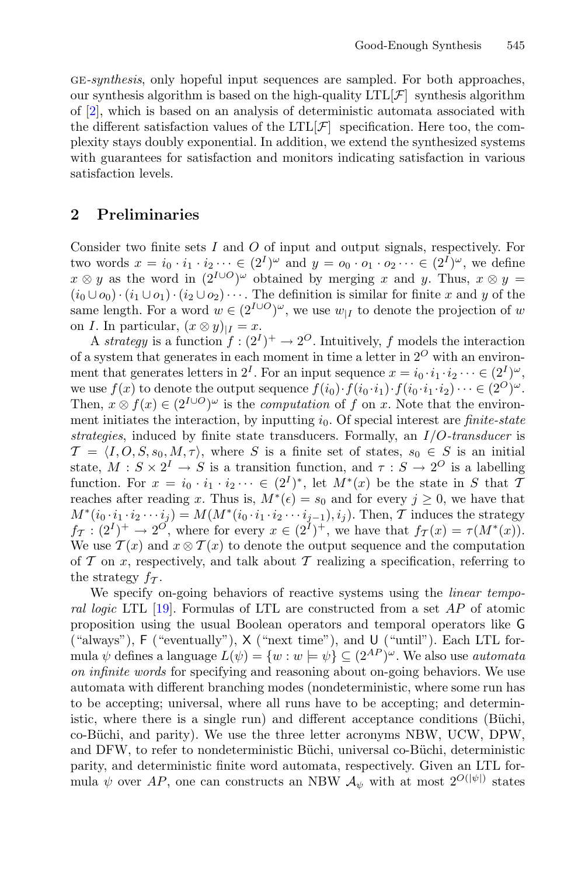ge*-synthesis*, only hopeful input sequences are sampled. For both approaches, our synthesis algorithm is based on the high-quality  $LTL[\mathcal{F}]$  synthesis algorithm of [\[2\]](#page-20-7), which is based on an analysis of deterministic automata associated with the different satisfaction values of the  $LTL[\mathcal{F}]$  specification. Here too, the complexity stays doubly exponential. In addition, we extend the synthesized systems with guarantees for satisfaction and monitors indicating satisfaction in various satisfaction levels.

### **2 Preliminaries**

Consider two finite sets I and O of input and output signals, respectively. For two words  $x = i_0 \cdot i_1 \cdot i_2 \cdots \in (2^I)^{\omega}$  and  $y = o_0 \cdot o_1 \cdot o_2 \cdots \in (2^I)^{\omega}$ , we define  $x \otimes y$  as the word in  $(2^{I\cup O})^{\omega}$  obtained by merging x and y. Thus,  $x \otimes y =$  $(i_0\cup o_0)\cdot(i_1\cup o_1)\cdot(i_2\cup o_2)\cdots$ . The definition is similar for finite x and y of the same length. For a word  $w \in (2^{I \cup O})^{\omega}$ , we use  $w_{|I}$  to denote the projection of w on *I*. In particular,  $(x \otimes y)_{|I} = x$ .

A *strategy* is a function  $f : (2^I)^+ \to 2^O$ . Intuitively, f models the interaction of a system that generates in each moment in time a letter in  $2^O$  with an environment that generates letters in  $2^I$ . For an input sequence  $x = i_0 \cdot i_1 \cdot i_2 \cdots \in (2^I)^{\omega}$ , we use  $f(x)$  to denote the output sequence  $f(i_0) \cdot \overline{f(i_0 \cdot i_1) \cdot f(i_0 \cdot i_1 \cdot i_2) \cdots \in (2^O)}^{\omega}$ . Then,  $x \otimes f(x) \in (2^{I \cup O})^{\omega}$  is the *computation* of f on x. Note that the environment initiates the interaction, by inputting  $i_0$ . Of special interest are *finite-state strategies*, induced by finite state transducers. Formally, an I/O*-transducer* is  $\mathcal{T} = \langle I, O, S, s_0, M, \tau \rangle$ , where S is a finite set of states,  $s_0 \in S$  is an initial state,  $M : S \times 2^I \to S$  is a transition function, and  $\tau : S \to 2^O$  is a labelling function. For  $x = i_0 \cdot i_1 \cdot i_2 \cdots \in (2^I)^*$ , let  $M^*(x)$  be the state in S that T reaches after reading x. Thus is,  $M^*(\epsilon) = s_0$  and for every  $j \geq 0$ , we have that  $M^*(i_0 \cdot i_1 \cdot i_2 \cdots i_j) = M(M^*(i_0 \cdot i_1 \cdot i_2 \cdots i_{j-1}), i_j)$ . Then, T induces the strategy  $f_{\mathcal{T}}:(2^I)^+\to 2^O$ , where for every  $x\in (2^I)^+$ , we have that  $f_{\mathcal{T}}(x)=\tau(M^*(x))$ . We use  $\mathcal{T}(x)$  and  $x \otimes \mathcal{T}(x)$  to denote the output sequence and the computation of  $\mathcal T$  on x, respectively, and talk about  $\mathcal T$  realizing a specification, referring to the strategy  $f_{\tau}$ .

We specify on-going behaviors of reactive systems using the *linear temporal logic* LTL [\[19\]](#page-21-6). Formulas of LTL are constructed from a set AP of atomic proposition using the usual Boolean operators and temporal operators like G ("always"), F ("eventually"), X ("next time"), and U ("until"). Each LTL formula  $\psi$  defines a language  $L(\psi) = \{w : w \models \psi\} \subseteq (2^{AP})^{\omega}$ . We also use *automata on infinite words* for specifying and reasoning about on-going behaviors. We use automata with different branching modes (nondeterministic, where some run has to be accepting; universal, where all runs have to be accepting; and deterministic, where there is a single run) and different acceptance conditions (Büchi, co-Büchi, and parity). We use the three letter acronyms NBW, UCW, DPW, and DFW, to refer to nondeterministic Büchi, universal co-Büchi, deterministic parity, and deterministic finite word automata, respectively. Given an LTL formula  $\psi$  over AP, one can constructs an NBW  $\mathcal{A}_{\psi}$  with at most  $2^{O(|\psi|)}$  states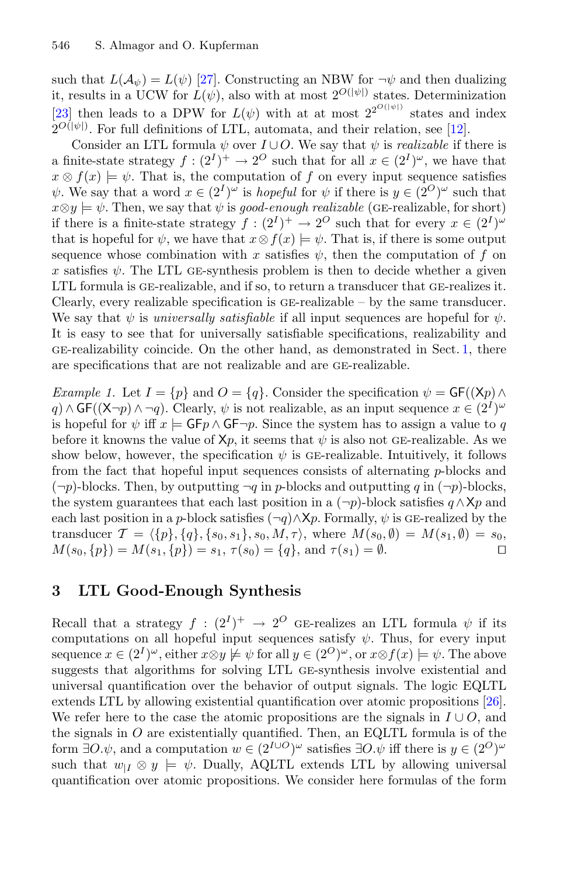such that  $L(\mathcal{A}_{\psi}) = L(\psi)$  [\[27](#page-21-7)]. Constructing an NBW for  $\neg \psi$  and then dualizing it, results in a UCW for  $L(\psi)$ , also with at most  $2^{O(|\psi|)}$  states. Determinization [\[23](#page-21-8)] then leads to a DPW for  $L(\psi)$  with at at most  $2^{2^{O(|\psi|)}}$  states and index  $2^{O(|\psi|)}$ . For full definitions of LTL, automata, and their relation, see [\[12](#page-20-9)].

Consider an LTL formula  $\psi$  over  $I \cup O$ . We say that  $\psi$  is *realizable* if there is a finite-state strategy  $f : (2^I)^+ \to 2^O$  such that for all  $x \in (2^I)^{\omega}$ , we have that  $x \otimes f(x) \models \psi$ . That is, the computation of f on every input sequence satisfies  $\psi$ . We say that a word  $x \in (2^I)^{\omega}$  is *hopeful* for  $\psi$  if there is  $y \in (2^O)^{\omega}$  such that  $x \otimes y \models \psi$ . Then, we say that  $\psi$  is *good-enough realizable* (GE-realizable, for short) if there is a finite-state strategy  $f : (2^I)^+ \to 2^O$  such that for every  $x \in (2^I)^{\omega}$ that is hopeful for  $\psi$ , we have that  $x \otimes f(x) \models \psi$ . That is, if there is some output sequence whose combination with x satisfies  $\psi$ , then the computation of f on x satisfies  $\psi$ . The LTL GE-synthesis problem is then to decide whether a given LTL formula is ge-realizable, and if so, to return a transducer that ge-realizes it. Clearly, every realizable specification is ge-realizable – by the same transducer. We say that  $\psi$  is *universally satisfiable* if all input sequences are hopeful for  $\psi$ . It is easy to see that for universally satisfiable specifications, realizability and ge-realizability coincide. On the other hand, as demonstrated in Sect. [1,](#page-0-0) there are specifications that are not realizable and are ge-realizable.

*Example 1.* Let  $I = \{p\}$  and  $O = \{q\}$ . Consider the specification  $\psi = \mathsf{GF}((\mathsf{X}p) \wedge \mathsf{X}$  $q) \wedge \mathsf{GF}((\mathsf{X}\neg p) \wedge \neg q)$ . Clearly,  $\psi$  is not realizable, as an input sequence  $x \in (2^I)^{\omega}$ is hopeful for  $\psi$  iff  $x \models$  GFp  $\land$  GF $\neg p$ . Since the system has to assign a value to q before it knowns the value of  $Xp$ , it seems that  $\psi$  is also not GE-realizable. As we show below, however, the specification  $\psi$  is GE-realizable. Intuitively, it follows from the fact that hopeful input sequences consists of alternating p-blocks and  $(\neg p)$ -blocks. Then, by outputting  $\neg q$  in p-blocks and outputting q in  $(\neg p)$ -blocks, the system guarantees that each last position in a  $(\neg p)$ -block satisfies  $q \wedge \mathsf{X} p$  and each last position in a p-block satisfies  $(\neg q) \wedge \forall p$ . Formally,  $\psi$  is GE-realized by the transducer  $\mathcal{T} = \langle \{p\}, \{q\}, \{s_0, s_1\}, s_0, M, \tau \rangle$ , where  $M(s_0, \emptyset) = M(s_1, \emptyset) = s_0$ ,  $M(s_0, \{p\}) = M(s_1, \{p\}) = s_1, \tau(s_0) = \{q\}, \text{ and } \tau(s_1) = \emptyset.$ 

# **3 LTL Good-Enough Synthesis**

Recall that a strategy  $f : (2^I)^+ \rightarrow 2^O$  GE-realizes an LTL formula  $\psi$  if its computations on all hopeful input sequences satisfy  $\psi$ . Thus, for every input sequence  $x \in (2^I)^\omega$ , either  $x \otimes y \not\models \psi$  for all  $y \in (2^O)^\omega$ , or  $x \otimes f(x) \models \psi$ . The above suggests that algorithms for solving LTL ge-synthesis involve existential and universal quantification over the behavior of output signals. The logic EQLTL extends LTL by allowing existential quantification over atomic propositions [\[26\]](#page-21-3). We refer here to the case the atomic propositions are the signals in  $I \cup O$ , and the signals in  $O$  are existentially quantified. Then, an EQLTL formula is of the form  $\exists O.\psi$ , and a computation  $w \in (2^{I\cup O})^{\omega}$  satisfies  $\exists O.\psi$  iff there is  $y \in (2^O)^{\omega}$ such that  $w_{|I} \otimes y \models \psi$ . Dually, AQLTL extends LTL by allowing universal quantification over atomic propositions. We consider here formulas of the form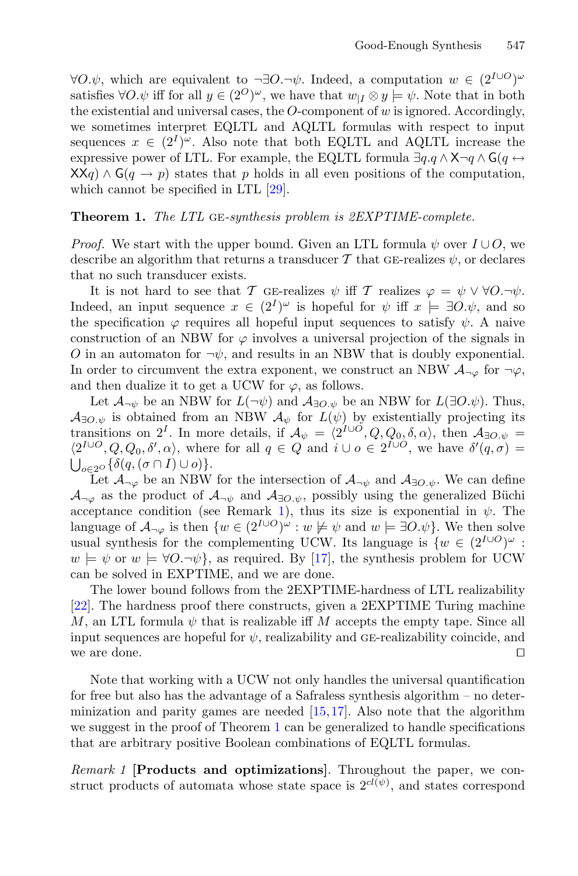$\forall O.\psi$ , which are equivalent to ¬∃O.¬ $\psi$ . Indeed, a computation  $w \in (2^{I\cup O})^{\omega}$ satisfies  $\forall O.\psi$  iff for all  $y \in (2^O)^\omega$ , we have that  $w_{\vert I} \otimes y \models \psi$ . Note that in both the existential and universal cases, the  $O$ -component of  $w$  is ignored. Accordingly, we sometimes interpret EQLTL and AQLTL formulas with respect to input sequences  $x \in (2^I)^{\omega}$ . Also note that both EQLTL and AQLTL increase the expressive power of LTL. For example, the EQLTL formula  $\exists q.q \land \mathsf{X}\neg q \land \mathsf{G}(q \leftrightarrow \mathsf{G})$  $XXq$ )  $\wedge$  G(q  $\rightarrow$  p) states that p holds in all even positions of the computation, which cannot be specified in LTL [\[29\]](#page-21-9).

#### <span id="page-6-1"></span>**Theorem 1.** *The LTL* ge*-synthesis problem is 2EXPTIME-complete.*

*Proof.* We start with the upper bound. Given an LTL formula  $\psi$  over  $I \cup O$ , we describe an algorithm that returns a transducer T that GE-realizes  $\psi$ , or declares that no such transducer exists.

It is not hard to see that T GE-realizes  $\psi$  iff T realizes  $\varphi = \psi \vee \forall O.\neg \psi$ . Indeed, an input sequence  $x \in (2^I)^\omega$  is hopeful for  $\psi$  iff  $x \models \exists O.\psi$ , and so the specification  $\varphi$  requires all hopeful input sequences to satisfy  $\psi$ . A naive construction of an NBW for  $\varphi$  involves a universal projection of the signals in O in an automaton for  $\neg \psi$ , and results in an NBW that is doubly exponential. In order to circumvent the extra exponent, we construct an NBW  $A_{\neg\varphi}$  for  $\neg\varphi$ , and then dualize it to get a UCW for  $\varphi$ , as follows.

Let  $\mathcal{A}_{\neg \psi}$  be an NBW for  $L(\neg \psi)$  and  $\mathcal{A}_{\exists O.\psi}$  be an NBW for  $L(\exists O.\psi)$ . Thus,  $\mathcal{A}_{\exists O.\psi}$  is obtained from an NBW  $\mathcal{A}_{\psi}$  for  $L(\psi)$  by existentially projecting its transitions on  $2^I$ . In more details, if  $\mathcal{A}_{\psi} = \langle 2^{I\cup O}, Q, Q_0, \delta, \alpha \rangle$ , then  $\mathcal{A}_{\exists O,\psi} = \langle Q_0, Q_0, \delta, \alpha \rangle$  $\langle 2^{I\cup O}, Q, Q_0, \delta', \alpha \rangle$ , where for all  $q \in Q$  and  $i \cup o \in 2^{I\cup O}$ , we have  $\delta'(q, \sigma) =$  $\bigcup_{o\in 2^O} \{\delta(q, (\sigma \cap I) \cup o)\}.$ 

Let  $\mathcal{A}_{\neg\omega}$  be an NBW for the intersection of  $\mathcal{A}_{\neg\psi}$  and  $\mathcal{A}_{\exists O,\psi}$ . We can define  $\mathcal{A}_{\neg\omega}$  as the product of  $\mathcal{A}_{\neg\psi}$  and  $\mathcal{A}_{\exists O,\psi}$ , possibly using the generalized Büchi acceptance condition (see Remark [1\)](#page-6-0), thus its size is exponential in  $\psi$ . The language of  $\mathcal{A}_{\neg \varphi}$  is then  $\{w \in (2^{I \cup O})^{\omega} : w \not\models \psi \text{ and } w \models \exists O.\psi\}.$  We then solve usual synthesis for the complementing UCW. Its language is  $\{w \in (2^{I\cup O})^{\omega}$ :  $w \models \psi$  or  $w \models \forall O.\neg \psi$ , as required. By [\[17](#page-21-5)], the synthesis problem for UCW can be solved in EXPTIME, and we are done.

The lower bound follows from the 2EXPTIME-hardness of LTL realizability [\[22](#page-21-10)]. The hardness proof there constructs, given a 2EXPTIME Turing machine M, an LTL formula  $\psi$  that is realizable iff M accepts the empty tape. Since all input sequences are hopeful for  $\psi$ , realizability and GE-realizability coincide, and we are done. we are done.  $\Box$ 

Note that working with a UCW not only handles the universal quantification for free but also has the advantage of a Safraless synthesis algorithm – no determinization and parity games are needed  $[15,17]$  $[15,17]$  $[15,17]$ . Also note that the algorithm we suggest in the proof of Theorem [1](#page-6-1) can be generalized to handle specifications that are arbitrary positive Boolean combinations of EQLTL formulas.

<span id="page-6-0"></span>*Remark 1* **[Products and optimizations]**. Throughout the paper, we construct products of automata whose state space is  $2^{cl(\psi)}$ , and states correspond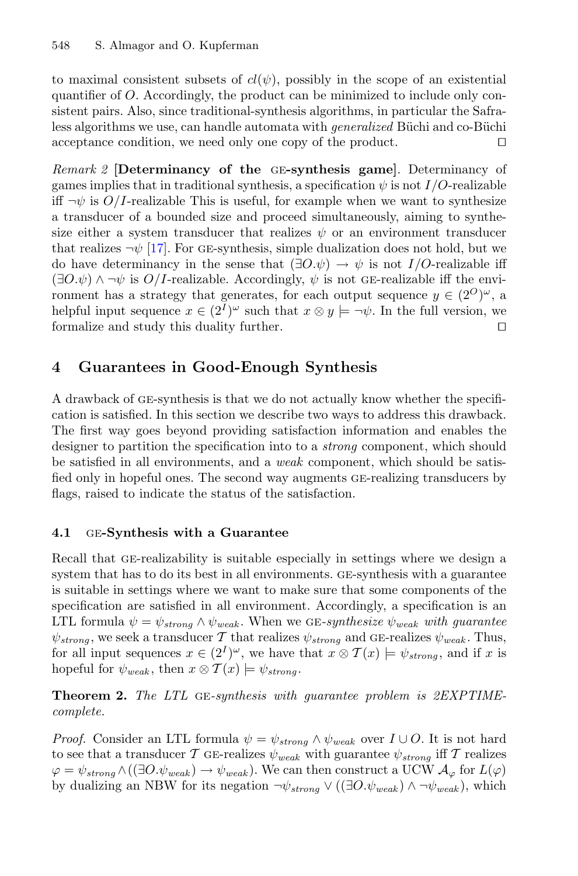to maximal consistent subsets of  $cl(\psi)$ , possibly in the scope of an existential quantifier of O. Accordingly, the product can be minimized to include only consistent pairs. Also, since traditional-synthesis algorithms, in particular the Safraless algorithms we use, can handle automata with *generalized* Büchi and co-Büchi acceptance condition, we need only one copy of the product.

*Remark 2* **[Determinancy of the** ge**-synthesis game]**. Determinancy of games implies that in traditional synthesis, a specification  $\psi$  is not I/O-realizable iff  $\neg \psi$  is O/I-realizable This is useful, for example when we want to synthesize a transducer of a bounded size and proceed simultaneously, aiming to synthesize either a system transducer that realizes  $\psi$  or an environment transducer that realizes  $\neg \psi$  [\[17](#page-21-5)]. For GE-synthesis, simple dualization does not hold, but we do have determinancy in the sense that  $(\exists O.\psi) \rightarrow \psi$  is not I/O-realizable iff  $(\exists O.\psi) \wedge \neg \psi$  is  $O/I$ -realizable. Accordingly,  $\psi$  is not GE-realizable iff the environment has a strategy that generates, for each output sequence  $y \in (2^O)^{\omega}$ , a helpful input sequence  $x \in (2^I)^\omega$  such that  $x \otimes y \models \neg \psi$ . In the full version, we formalize and study this duality further. formalize and study this duality further.

# **4 Guarantees in Good-Enough Synthesis**

A drawback of ge-synthesis is that we do not actually know whether the specification is satisfied. In this section we describe two ways to address this drawback. The first way goes beyond providing satisfaction information and enables the designer to partition the specification into to a *strong* component, which should be satisfied in all environments, and a *weak* component, which should be satisfied only in hopeful ones. The second way augments ge-realizing transducers by flags, raised to indicate the status of the satisfaction.

### **4.1** ge**-Synthesis with a Guarantee**

Recall that GE-realizability is suitable especially in settings where we design a system that has to do its best in all environments. ge-synthesis with a guarantee is suitable in settings where we want to make sure that some components of the specification are satisfied in all environment. Accordingly, a specification is an LTL formula  $\psi = \psi_{strong} \wedge \psi_{weak}$ . When we GE-synthesize  $\psi_{weak}$  with guarantee  $\psi_{strong}$ , we seek a transducer T that realizes  $\psi_{strong}$  and GE-realizes  $\psi_{weak}$ . Thus, for all input sequences  $x \in (2^I)^\omega$ , we have that  $x \otimes \mathcal{T}(x) \models \psi_{strong}$ , and if x is hopeful for  $\psi_{weak}$ , then  $x \otimes \mathcal{T}(x) \models \psi_{strong}$ .

**Theorem 2.** *The LTL* ge*-synthesis with guarantee problem is 2EXPTIMEcomplete.*

*Proof.* Consider an LTL formula  $\psi = \psi_{strong} \wedge \psi_{weak}$  over  $I \cup O$ . It is not hard to see that a transducer  $T$  GE-realizes  $\psi_{weak}$  with guarantee  $\psi_{strong}$  iff  $T$  realizes  $\varphi = \psi_{strong} \wedge ((\exists O.\psi_{weak}) \rightarrow \psi_{weak})$ . We can then construct a UCW  $\mathcal{A}_{\varphi}$  for  $L(\varphi)$ by dualizing an NBW for its negation  $\neg \psi_{strong} \lor ((\exists O.\psi_{weak}) \land \neg \psi_{weak})$ , which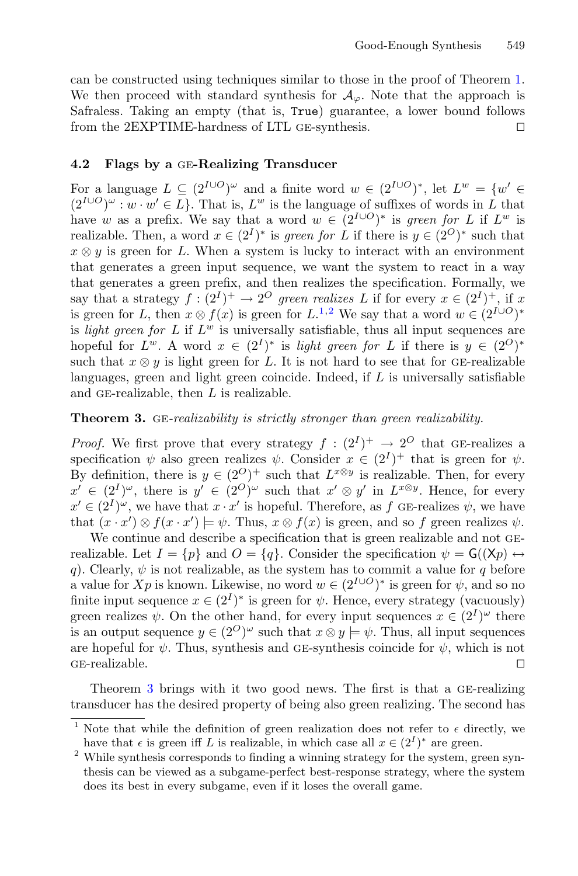can be constructed using techniques similar to those in the proof of Theorem [1.](#page-6-1) We then proceed with standard synthesis for  $\mathcal{A}_{\varphi}$ . Note that the approach is Safraless. Taking an empty (that is, True) guarantee, a lower bound follows from the 2EXPTIME-hardness of LTL GE-synthesis.

#### **4.2 Flags by a** ge**-Realizing Transducer**

For a language  $L \subseteq (2^{I\cup O})^{\omega}$  and a finite word  $w \in (2^{I\cup O})^*$ , let  $L^w = \{w' \in$  $(2^{I\cup O})^{\omega}: w\cdot w' \in L$ . That is,  $L^w$  is the language of suffixes of words in L that have w as a prefix. We say that a word  $w \in (2^{I\cup O})^*$  is *green for* L if  $L^w$  is realizable. Then, a word  $x \in (2^I)^*$  is *green for* L if there is  $y \in (2^O)^*$  such that  $x \otimes y$  is green for L. When a system is lucky to interact with an environment that generates a green input sequence, we want the system to react in a way that generates a green prefix, and then realizes the specification. Formally, we say that a strategy  $f : (2^I)^+ \to 2^O$  *green realizes* L if for every  $x \in (2^I)^+$ , if x is green for L, then  $x \otimes f(x)$  is green for  $L^{1,2}$  $L^{1,2}$  $L^{1,2}$  $L^{1,2}$  $L^{1,2}$ . We say that a word  $w \in (2^{I \cup O})^*$ is *light green for* L if  $L^w$  is universally satisfiable, thus all input sequences are hopeful for  $L^w$ . A word  $x \in (2^I)^*$  is *light green for* L if there is  $y \in (2^O)^*$ such that  $x \otimes y$  is light green for L. It is not hard to see that for GE-realizable languages, green and light green coincide. Indeed, if  $L$  is universally satisfiable and GE-realizable, then  $L$  is realizable.

#### <span id="page-8-2"></span>**Theorem 3.** GE-realizability is strictly stronger than green realizability.

*Proof.* We first prove that every strategy  $f : (2^I)^+ \rightarrow 2^O$  that GE-realizes a specification  $\psi$  also green realizes  $\psi$ . Consider  $x \in (2^I)^+$  that is green for  $\psi$ . By definition, there is  $y \in (2^O)^+$  such that  $L^{x \otimes y}$  is realizable. Then, for every  $x' \in (2^I)^\omega$ , there is  $y' \in (2^O)^\omega$  such that  $x' \otimes y'$  in  $L^{x \otimes y}$ . Hence, for every  $x' \in (2^I)^{\omega}$ , we have that  $x \cdot x'$  is hopeful. Therefore, as f GE-realizes  $\psi$ , we have that  $(x \cdot x') \otimes f(x \cdot x') \models \psi$ . Thus,  $x \otimes f(x)$  is green, and so f green realizes  $\psi$ .

We continue and describe a specification that is green realizable and not GErealizable. Let  $I = \{p\}$  and  $O = \{q\}$ . Consider the specification  $\psi = G((Xp) \leftrightarrow$ q). Clearly,  $\psi$  is not realizable, as the system has to commit a value for q before a value for  $Xp$  is known. Likewise, no word  $w \in (2^{I\cup O})^*$  is green for  $\psi$ , and so no finite input sequence  $x \in (2^I)^*$  is green for  $\psi$ . Hence, every strategy (vacuously) green realizes  $\psi$ . On the other hand, for every input sequences  $x \in (2^I)^{\omega}$  there is an output sequence  $y \in (2^O)^\omega$  such that  $x \otimes y \models \psi$ . Thus, all input sequences are hopeful for  $\psi$ . Thus, synthesis and GE-synthesis coincide for  $\psi$ , which is not GE-realizable. GE-realizable.  $\square$ 

Theorem [3](#page-8-2) brings with it two good news. The first is that a ge-realizing transducer has the desired property of being also green realizing. The second has

<span id="page-8-0"></span><sup>&</sup>lt;sup>1</sup> Note that while the definition of green realization does not refer to  $\epsilon$  directly, we have that  $\epsilon$  is green iff L is realizable, in which case all  $x \in (2^I)^*$  are green.

<span id="page-8-1"></span><sup>&</sup>lt;sup>2</sup> While synthesis corresponds to finding a winning strategy for the system, green synthesis can be viewed as a subgame-perfect best-response strategy, where the system does its best in every subgame, even if it loses the overall game.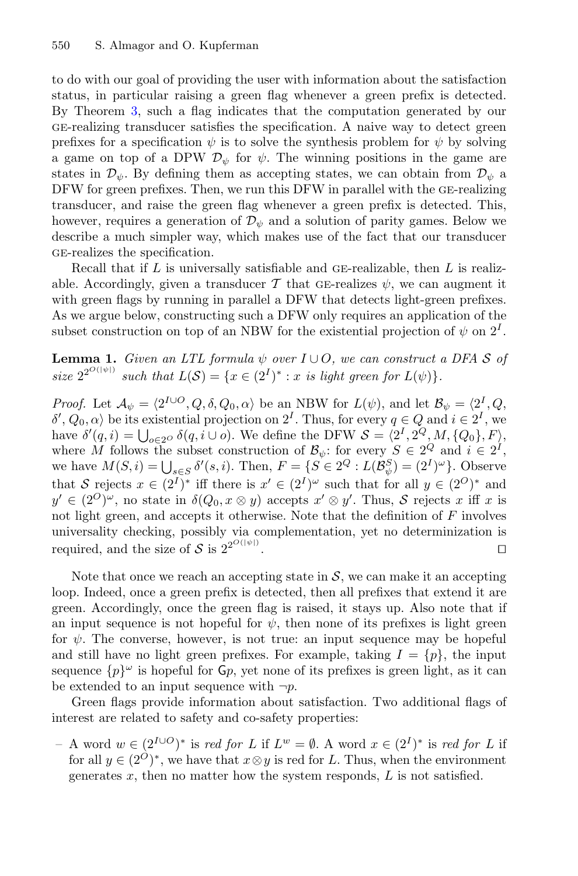to do with our goal of providing the user with information about the satisfaction status, in particular raising a green flag whenever a green prefix is detected. By Theorem [3,](#page-8-2) such a flag indicates that the computation generated by our ge-realizing transducer satisfies the specification. A naive way to detect green prefixes for a specification  $\psi$  is to solve the synthesis problem for  $\psi$  by solving a game on top of a DPW  $\mathcal{D}_{\psi}$  for  $\psi$ . The winning positions in the game are states in  $\mathcal{D}_{\psi}$ . By defining them as accepting states, we can obtain from  $\mathcal{D}_{\psi}$  a DFW for green prefixes. Then, we run this DFW in parallel with the GE-realizing transducer, and raise the green flag whenever a green prefix is detected. This, however, requires a generation of  $\mathcal{D}_{\psi}$  and a solution of parity games. Below we describe a much simpler way, which makes use of the fact that our transducer ge-realizes the specification.

Recall that if  $L$  is universally satisfiable and GE-realizable, then  $L$  is realizable. Accordingly, given a transducer T that GE-realizes  $\psi$ , we can augment it with green flags by running in parallel a DFW that detects light-green prefixes. As we argue below, constructing such a DFW only requires an application of the subset construction on top of an NBW for the existential projection of  $\psi$  on  $2^I$ .

**Lemma 1.** *Given an LTL formula*  $\psi$  *over*  $I \cup O$ *, we can construct a DFA*  $S$  *of*  $size$   $2^{2^{O(|\psi|)}}$ *such that*  $L(S) = \{x \in (2^I)^* : x \text{ is light green for } L(\psi)\}.$ 

*Proof.* Let  $\mathcal{A}_{\psi} = \langle 2^{I\cup O}, Q, \delta, Q_0, \alpha \rangle$  be an NBW for  $L(\psi)$ , and let  $\mathcal{B}_{\psi} = \langle 2^I, Q, \phi \rangle$  $\delta', Q_0, \alpha$  be its existential projection on  $2^I$ . Thus, for every  $q \in Q$  and  $i \in 2^I$ , we have  $\delta'(q, i) = \bigcup_{o \in 2^O} \delta(q, i \cup o)$ . We define the DFW  $S = \langle 2^I, 2^Q, M, \{Q_0\}, F \rangle$ where M follows the subset construction of  $\mathcal{B}_{\psi}$ : for every  $S \in 2^Q$  and  $i \in 2^I$ , we have  $M(S, i) = \bigcup_{s \in S} \delta'(s, i)$ . Then,  $F = \{S \in 2^Q : L(\mathcal{B}_{\psi}^S) = (2^I)^{\omega}\}$ . Observe that S rejects  $x \in (2^I)^*$  iff there is  $x' \in (2^I)^\omega$  such that for all  $y \in (2^O)^*$  and  $y' \in (2^O)^\omega$ , no state in  $\delta(Q_0, x \otimes y)$  accepts  $x' \otimes y'$ . Thus, S rejects x iff x is not light green, and accepts it otherwise. Note that the definition of  $F$  involves universality checking, possibly via complementation, yet no determinization is required, and the size of S is  $2^{2^{O(|\psi|)}}$ . . **Executive** Construction of the Construction of the Construction of the Construction of the Construction of the Construction of the Construction of the Construction of the Construction of the Construction of the Construc

Note that once we reach an accepting state in  $S$ , we can make it an accepting loop. Indeed, once a green prefix is detected, then all prefixes that extend it are green. Accordingly, once the green flag is raised, it stays up. Also note that if an input sequence is not hopeful for  $\psi$ , then none of its prefixes is light green for  $\psi$ . The converse, however, is not true: an input sequence may be hopeful and still have no light green prefixes. For example, taking  $I = \{p\}$ , the input sequence  $\{p\}^{\omega}$  is hopeful for  $\mathsf{G}p$ , yet none of its prefixes is green light, as it can be extended to an input sequence with  $\neg p$ .

Green flags provide information about satisfaction. Two additional flags of interest are related to safety and co-safety properties:

– A word  $w \in (2^{I\cup O})^*$  is *red for* L if  $L^w = ∅$ . A word  $x ∈ (2^I)^*$  is *red for* L if for all  $y \in (2^O)^*$ , we have that  $x \otimes y$  is red for L. Thus, when the environment generates x, then no matter how the system responds,  $L$  is not satisfied.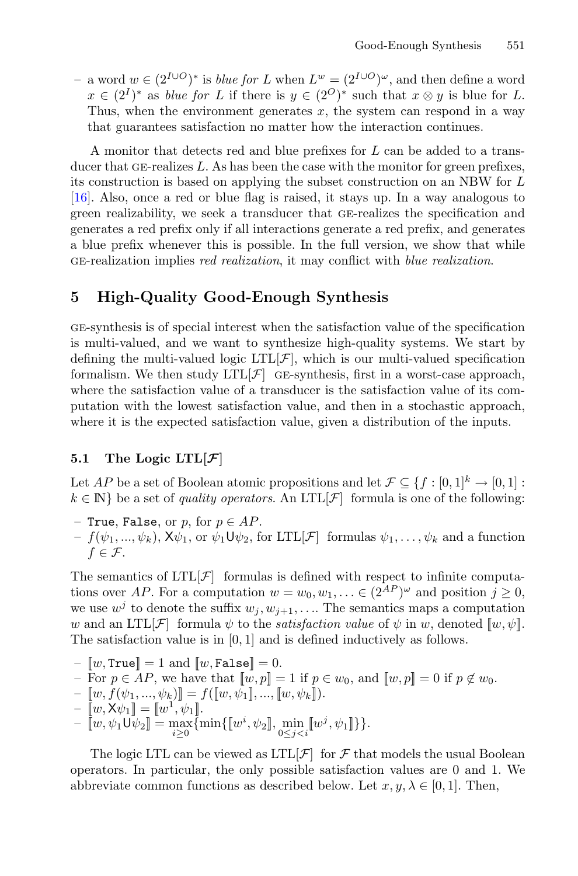$-$  a word  $w \in (2^{I\cup O})^*$  is *blue for* L when  $L^w = (2^{I\cup O})^{\omega}$ , and then define a word  $x \in (2^I)^*$  as *blue for* L if there is  $y \in (2^O)^*$  such that  $x \otimes y$  is blue for L. Thus, when the environment generates  $x$ , the system can respond in a way that guarantees satisfaction no matter how the interaction continues.

A monitor that detects red and blue prefixes for L can be added to a transducer that GE-realizes L. As has been the case with the monitor for green prefixes, its construction is based on applying the subset construction on an NBW for L [\[16](#page-21-11)]. Also, once a red or blue flag is raised, it stays up. In a way analogous to green realizability, we seek a transducer that ge-realizes the specification and generates a red prefix only if all interactions generate a red prefix, and generates a blue prefix whenever this is possible. In the full version, we show that while ge-realization implies *red realization*, it may conflict with *blue realization*.

# **5 High-Quality Good-Enough Synthesis**

ge-synthesis is of special interest when the satisfaction value of the specification is multi-valued, and we want to synthesize high-quality systems. We start by defining the multi-valued logic  $LTL[\mathcal{F}]$ , which is our multi-valued specification formalism. We then study  $LTL[\mathcal{F}]$  GE-synthesis, first in a worst-case approach, where the satisfaction value of a transducer is the satisfaction value of its computation with the lowest satisfaction value, and then in a stochastic approach, where it is the expected satisfaction value, given a distribution of the inputs.

### **5.1 The Logic LTL[***F***]**

Let AP be a set of Boolean atomic propositions and let  $\mathcal{F} \subseteq \{f : [0, 1]^k \to [0, 1]:$  $k \in \mathbb{N}$  be a set of *quality operators*. An LTL[ $\mathcal{F}$ ] formula is one of the following:

- True, False, or p, for  $p \in AP$ .
- $f(\psi_1, ..., \psi_k), \mathsf{X}\psi_1$ , or  $\psi_1\mathsf{U}\psi_2$ , for LTL[F] formulas  $\psi_1, ..., \psi_k$  and a function  $f \in \mathcal{F}$ .

The semantics of  $LTL[\mathcal{F}]$  formulas is defined with respect to infinite computations over AP. For a computation  $w = w_0, w_1, \ldots \in (2^{AP})^{\omega}$  and position  $j \geq 0$ , we use  $w^j$  to denote the suffix  $w_j, w_{j+1}, \ldots$ . The semantics maps a computation w and an LTL[F] formula  $\psi$  to the *satisfaction value* of  $\psi$  in w, denoted  $\llbracket w, \psi \rrbracket$ . The satisfaction value is in [0, 1] and is defined inductively as follows.

 $-[w, True] = 1$  and  $[w, False] = 0$ . – For  $p \in AP$ , we have that  $[[w, p]] = 1$  if  $p \in w_0$ , and  $[[w, p]] = 0$  if  $p \notin w_0$ .  $-[ \llbracket w, f(\psi_1, ..., \psi_k) \rrbracket = f([\llbracket w, \psi_1 \rrbracket, ..., \llbracket w, \psi_k \rrbracket).$  $-\stackrel{\llcorner}{[}w, \mathsf{X} \psi_1\mathbb{]} = \stackrel{\llcorner}{[}w^1, \psi_1\mathbb{]} .$  $-[[w,\psi_1 \mathsf{U} \psi_2]] = \max_{i \geq 0} \{\min \{[[w^i,\psi_2]], \min_{0 \leq j < i} [[w^j,\psi_1]]\} \}.$ 

The logic LTL can be viewed as  $LTL[\mathcal{F}]$  for  $\mathcal F$  that models the usual Boolean operators. In particular, the only possible satisfaction values are 0 and 1. We abbreviate common functions as described below. Let  $x, y, \lambda \in [0, 1]$ . Then,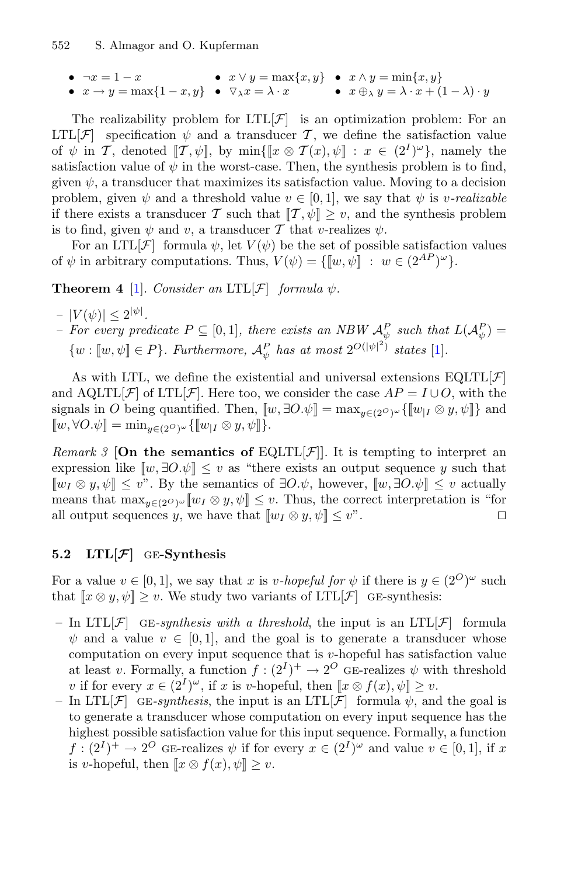•  $\neg x = 1 - x$  •  $x \lor y = \max\{x, y\}$  •  $x \land y = \min\{x, y\}$ •  $x \to y = \max\{1 - x, y\}$  •  $\nabla_{\lambda} x = \lambda \cdot x$ •  $x \oplus_{\lambda} y = \lambda \cdot x + (1 - \lambda) \cdot y$ 

The realizability problem for  $LTL[\mathcal{F}]$  is an optimization problem: For an LTL[F] specification  $\psi$  and a transducer T, we define the satisfaction value of  $\psi$  in T, denoted  $[[T, \psi]],$  by  $\min\{[[x \otimes T(x), \psi]] : x \in (2^I)^{\omega}\}\)$ , namely the satisfaction value of  $\psi$  in the worst-case. Then, the synthesis problem is to find, given  $\psi$ , a transducer that maximizes its satisfaction value. Moving to a decision problem, given  $\psi$  and a threshold value  $v \in [0, 1]$ , we say that  $\psi$  is *v*-realizable if there exists a transducer T such that  $[[T, \psi]] > v$ , and the synthesis problem is to find, given  $\psi$  and  $v$ , a transducer T that v-realizes  $\psi$ .

<span id="page-11-0"></span>For an LTL[ $\mathcal{F}$ ] formula  $\psi$ , let  $V(\psi)$  be the set of possible satisfaction values of  $\psi$  in arbitrary computations. Thus,  $V(\psi) = \{\llbracket w, \psi \rrbracket : w \in (2^{AP})^{\omega}\}.$ 

**Theorem 4** [\[1\]](#page-20-6). *Consider an*  $LTL[F]$  *formula*  $\psi$ *.* 

- $|V(\psi)| \leq 2^{|\psi|}$ .
- *For every predicate*  $P \subseteq [0,1]$ *, there exists an NBW*  $\mathcal{A}_{\psi}^{P}$  such that  $L(\mathcal{A}_{\psi}^{P}) =$  $\{w : [w, \psi] \in P\}$ . Furthermore,  $\mathcal{A}_{\psi}^{P}$  has at most  $2^{O(|\psi|^{2})}$  states [\[1](#page-20-6)].

As with LTL, we define the existential and universal extensions  $EOLTL[ $\mathcal{F}$ ]$ and AQLTL $[\mathcal{F}]$  of LTL $[\mathcal{F}]$ . Here too, we consider the case  $AP = I \cup O$ , with the signals in O being quantified. Then,  $[\![w, \exists O.\psi]\!] = \max_{u \in (2^O)} [\![w]_I \otimes y, \psi]\!]$  and  $\llbracket w, \forall O.\psi \rrbracket = \min_{y \in (2^O)^{\omega}} \{ \llbracket w_{|I} \otimes y, \psi \rrbracket \}.$ 

<span id="page-11-1"></span>*Remark 3* [On the semantics of EQLTL[ $\mathcal{F}$ ]]. It is tempting to interpret an expression like  $[w, \exists O.\psi] \leq v$  as "there exists an output sequence y such that  $\llbracket w_I \otimes y, \psi \rrbracket \leq v$ . By the semantics of  $\exists O.\psi$ , however,  $\llbracket w, \exists O.\psi \rrbracket \leq v$  actually means that  $\max_{y \in (2^{\circ})^{\omega}} [w] \otimes y, \psi] \leq v$ . Thus, the correct interpretation is "for all output sequences  $y$ , we have that  $\llbracket w \otimes y, \psi \rrbracket \leq v$ ". all output sequences y, we have that  $\llbracket w_I \otimes y, \psi \rrbracket \leq v$ ".

### <span id="page-11-2"></span>**5.2 LTL[***F***]** ge**-Synthesis**

For a value  $v \in [0,1]$ , we say that x is v-hopeful for  $\psi$  if there is  $y \in (2^O)^\omega$  such that  $[x \otimes y, \psi] \geq v$ . We study two variants of LTL[*F*] GE-synthesis:

- In  $LTL[\mathcal{F}]$  ge-synthesis with a threshold, the input is an  $LTL[\mathcal{F}]$  formula  $\psi$  and a value  $v \in [0, 1]$ , and the goal is to generate a transducer whose computation on every input sequence that is  $v$ -hopeful has satisfaction value at least v. Formally, a function  $f:(2^I)^+\to 2^O$  GE-realizes  $\psi$  with threshold v if for every  $x \in (2^I)^\omega$ , if x is v-hopeful, then  $\llbracket x \otimes f(x), \psi \rrbracket \geq v$ .
- In LTL $[F]$  GE-synthesis, the input is an LTL $[F]$  formula  $\psi$ , and the goal is to generate a transducer whose computation on every input sequence has the highest possible satisfaction value for this input sequence. Formally, a function  $f:(2^I)^+ \to 2^O$  GE-realizes  $\psi$  if for every  $x \in (2^I)^{\omega}$  and value  $v \in [0,1]$ , if x is v-hopeful, then  $\llbracket x \otimes f(x), \psi \rrbracket \geq v$ .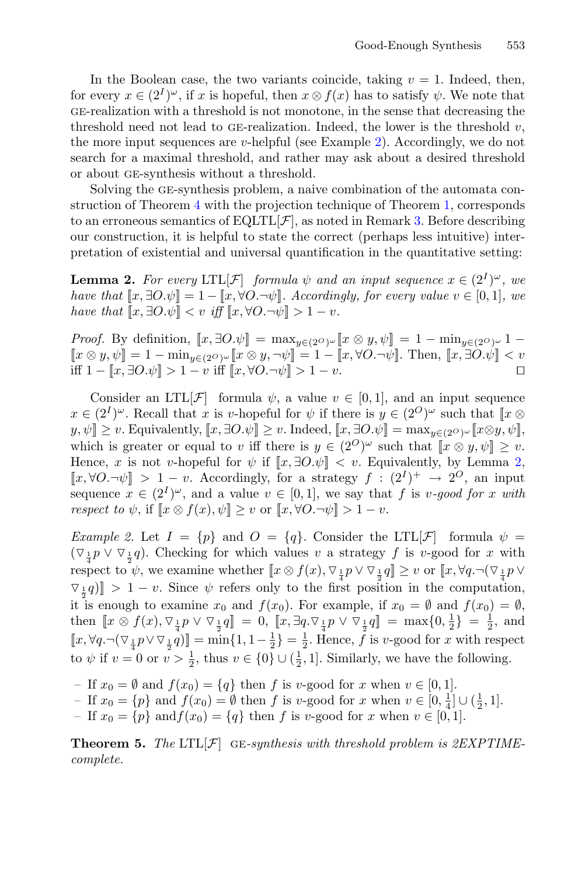In the Boolean case, the two variants coincide, taking  $v = 1$ . Indeed, then, for every  $x \in (2^I)^{\omega}$ , if x is hopeful, then  $x \otimes f(x)$  has to satisfy  $\psi$ . We note that ge-realization with a threshold is not monotone, in the sense that decreasing the threshold need not lead to GE-realization. Indeed, the lower is the threshold  $v$ , the more input sequences are v-helpful (see Example [2\)](#page-12-0). Accordingly, we do not search for a maximal threshold, and rather may ask about a desired threshold or about ge-synthesis without a threshold.

Solving the ge-synthesis problem, a naive combination of the automata construction of Theorem [4](#page-11-0) with the projection technique of Theorem [1,](#page-6-1) corresponds to an erroneous semantics of  $\text{EQLTL}[\mathcal{F}]$ , as noted in Remark [3.](#page-11-1) Before describing our construction, it is helpful to state the correct (perhaps less intuitive) interpretation of existential and universal quantification in the quantitative setting:

<span id="page-12-1"></span>**Lemma 2.** *For every*  $LTL[\mathcal{F}]$  *formula*  $\psi$  *and an input sequence*  $x \in (2^I)^{\omega}$ *, we have that*  $[x, \exists O.\psi] = 1 - [x, \forall O. \neg \psi]$ *. Accordingly, for every value*  $v \in [0, 1]$ *, we have that*  $[x, \exists O.\psi] < v$  *iff*  $[x, \forall O. \neg \psi] > 1 - v$ .

*Proof.* By definition,  $[x, \exists O.\psi] = \max_{y \in (2^O)^{\omega}} [x \otimes y, \psi] = 1 - \min_{y \in (2^O)^{\omega}} 1 [[x \otimes y, \psi]] = 1 - \min_{y \in (2^O)^{\omega}} [[x \otimes y, \neg \psi]] = 1 - [[x, \forall O. \neg \psi]].$  Then,  $[[x, \exists O. \psi]] < v$ <br>iff  $1 - [[x, \exists O. \psi]] > 1 - v$  iff  $[[x, \forall O. \neg \psi]] > 1 - v$ . iff  $1 - [x, \exists O.\psi] > 1 - v$  iff  $[x, \forall O. \neg \psi] > 1 - v$ .

Consider an LTL[F] formula  $\psi$ , a value  $v \in [0, 1]$ , and an input sequence  $x \in (2^I)^\omega$ . Recall that x is v-hopeful for  $\psi$  if there is  $y \in (2^O)^\omega$  such that  $\llbracket x \otimes$  $y, \psi \geq v$ . Equivalently,  $[x, \exists O.\psi] \geq v$ . Indeed,  $[x, \exists O.\psi] = \max_{y \in (2^O)^{\omega}} [x \otimes y, \psi],$ which is greater or equal to v iff there is  $y \in (2^O)^\omega$  such that  $\llbracket x \otimes y, \psi \rrbracket \geq v$ . Hence, x is not v-hopeful for  $\psi$  if  $\llbracket x, \exists O.\psi \rrbracket < v$ . Equivalently, by Lemma [2,](#page-12-1)  $\llbracket x, \forall O. \neg \psi \rrbracket > 1 - v.$  Accordingly, for a strategy  $f : (2^I)^+ \rightarrow 2^O$ , an input sequence  $x \in (2^I)^{\omega}$ , and a value  $v \in [0,1]$ , we say that f is v-good for x with *respect to*  $\psi$ , if  $\llbracket x \otimes f(x), \psi \rrbracket \geq v$  or  $\llbracket x, \forall O. \neg \psi \rrbracket > 1 - v$ .

<span id="page-12-0"></span>*Example 2.* Let  $I = \{p\}$  and  $O = \{q\}$ . Consider the LTL[F] formula  $\psi =$  $(\nabla_{\frac{1}{4}} p \vee \nabla_{\frac{1}{2}} q)$ . Checking for which values v a strategy f is v-good for x with respect to  $\psi$ , we examine whether  $[\![x \otimes f(x), \nabla_{\frac{1}{4}} p \vee \nabla_{\frac{1}{2}} q]\!] \geq v$  or  $[\![x, \forall q. \neg (\nabla_{\frac{1}{4}} p \vee$  $\left[\nabla_{\frac{1}{2}} q\right] > 1 - v$ . Since  $\psi$  refers only to the first position in the computation, it is enough to examine  $x_0$  and  $f(x_0)$ . For example, if  $x_0 = \emptyset$  and  $f(x_0) = \emptyset$ , then  $[[x \otimes f(x), \nabla_{\frac{1}{4}} p \vee \nabla_{\frac{1}{2}} q]] = 0$ ,  $[[x, \exists q. \nabla_{\frac{1}{4}} p \vee \nabla_{\frac{1}{2}} q]] = \max\{0, \frac{1}{2}\} = \frac{1}{2}$ , and  $\llbracket x, \forall q. \neg(\nabla_{\frac{1}{4}} p \vee \nabla_{\frac{1}{2}} q)\rrbracket = \min\{1, 1-\frac{1}{2}\} = \frac{1}{2}.$  Hence, f is v-good for x with respect to  $\psi$  if  $v = 0$  or  $v > \frac{1}{2}$ , thus  $v \in \{0\} \cup (\frac{1}{2}, 1]$ . Similarly, we have the following.

– If  $x_0 = \emptyset$  and  $f(x_0) = \{q\}$  then f is v-good for x when  $v \in [0, 1]$ .

- If 
$$
x_0 = \{p\}
$$
 and  $f(x_0) = \emptyset$  then f is v-good for x when  $v \in [0, \frac{1}{4}] \cup (\frac{1}{2}, 1]$ .

– If  $x_0 = \{p\}$  and  $f(x_0) = \{q\}$  then f is v-good for x when  $v \in [0, 1]$ .

<span id="page-12-2"></span>**Theorem 5.** *The* LTL[F] ge*-synthesis with threshold problem is 2EXPTIMEcomplete.*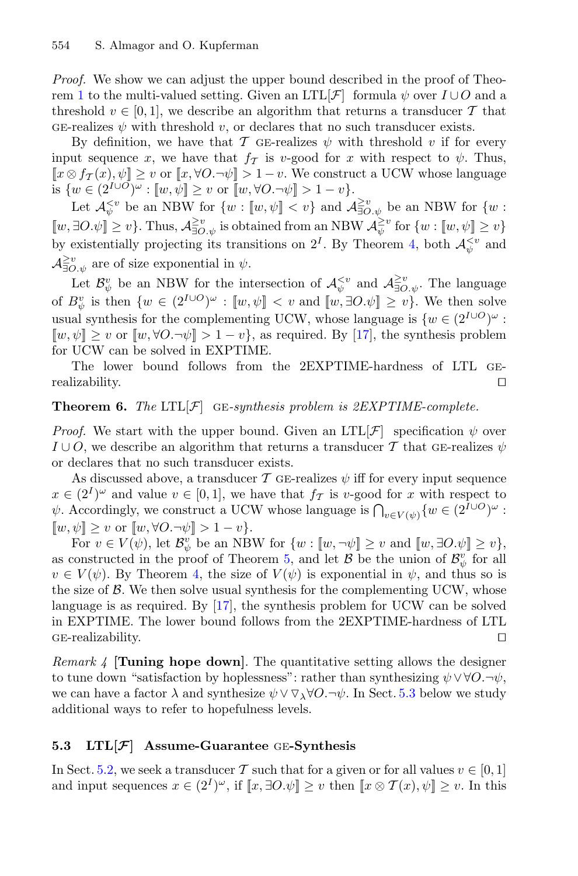*Proof.* We show we can adjust the upper bound described in the proof of Theo-rem [1](#page-6-1) to the multi-valued setting. Given an LTL[F] formula  $\psi$  over  $I\cup O$  and a threshold  $v \in [0, 1]$ , we describe an algorithm that returns a transducer T that GE-realizes  $\psi$  with threshold v, or declares that no such transducer exists.

By definition, we have that T GE-realizes  $\psi$  with threshold v if for every input sequence x, we have that  $f_{\mathcal{T}}$  is v-good for x with respect to  $\psi$ . Thus,  $[x \otimes f_{\mathcal{T}}(x), \psi] \geq v$  or  $[x, \forall O, \neg \psi] > 1 - v$ . We construct a UCW whose language is  $\{w \in (2^{I \cup O})^{\omega} : [w, \overline{\psi}] \geq v \text{ or } [w, \forall O. \neg \psi] > 1 - v\}.$ 

Let  $\mathcal{A}_{\psi}^{< v}$  be an NBW for  $\{w : [w, \psi] < v\}$  and  $\mathcal{A}_{\exists O, \psi}^{\geq v}$  be an NBW for  $\{w : [w, \psi] < v\}$  $[\![w, \exists O.\psi]\!] \geq v$ . Thus,  $\mathcal{A}_{\exists O.\psi}^{\geq v}$  is obtained from an NBW  $\mathcal{A}_{\psi}^{\geq v}$  for  $\{w : [\![w, \psi]\!] \geq v\}$ . by existentially projecting its transitions on  $2^I$ . By Theorem [4,](#page-11-0) both  $\mathcal{A}_{\psi}^{< v}$  and  $\mathcal{A}_{\exists O.\psi}^{\geq v}$  are of size exponential in  $\psi$ .

Let  $\mathcal{B}_{\psi}^{v}$  be an NBW for the intersection of  $\mathcal{A}_{\psi}^{< v}$  and  $\mathcal{A}_{\exists O,\psi}^{\geq v}$ . The language of  $B^v_{\psi}$  is then  $\{w \in (2^{I \cup O})^{\omega} : [w, \psi] < v \text{ and } [w, \exists O.\psi] \geq v\}$ . We then solve usual synthesis for the complementing UCW, whose language is  $\{w \in (2^{I\cup O})^{\omega}$ :  $\|w, \psi\| \geq v$  or  $\|w, \forall O.\neg\psi\| > 1 - v$ , as required. By [\[17\]](#page-21-5), the synthesis problem for UCW can be solved in EXPTIME.

The lower bound follows from the 2EXPTIME-hardness of LTL GE-realizability.  $\hfill \Box$ realizability.  $\Box$ 

#### **Theorem 6.** *The* LTL[F] ge*-synthesis problem is 2EXPTIME-complete.*

*Proof.* We start with the upper bound. Given an  $LTL[\mathcal{F}]$  specification  $\psi$  over  $I \cup O$ , we describe an algorithm that returns a transducer T that GE-realizes  $\psi$ or declares that no such transducer exists.

As discussed above, a transducer T GE-realizes  $\psi$  iff for every input sequence  $x \in (2^I)^{\omega}$  and value  $v \in [0,1]$ , we have that  $f_{\mathcal{T}}$  is v-good for x with respect to  $\psi$ . Accordingly, we construct a UCW whose language is  $\bigcap_{v \in V(\psi)} \{w \in (2^{I \cup O})^{\omega} :$  $\llbracket w, \psi \rrbracket \geq v$  or  $\llbracket w, \forall O. \neg \psi \rrbracket > 1 - v$ .

For  $v \in V(\psi)$ , let  $\mathcal{B}_{\psi}^{v}$  be an NBW for  $\{w : \llbracket w, \neg \psi \rrbracket \geq v \text{ and } \llbracket w, \exists O. \psi \rrbracket \geq v \}$ , as constructed in the proof of Theorem [5,](#page-12-2) and let B be the union of  $\mathcal{B}_{\psi}^{v}$  for all  $v \in V(\psi)$ . By Theorem [4,](#page-11-0) the size of  $V(\psi)$  is exponential in  $\psi$ , and thus so is the size of  $\beta$ . We then solve usual synthesis for the complementing UCW, whose language is as required. By [\[17](#page-21-5)], the synthesis problem for UCW can be solved in EXPTIME. The lower bound follows from the 2EXPTIME-hardness of LTL GE-realizability.  $\square$ 

*Remark 4* **[Tuning hope down]**. The quantitative setting allows the designer to tune down "satisfaction by hoplessness": rather than synthesizing  $\psi \vee \forall O.\neg \psi$ , we can have a factor  $\lambda$  and synthesize  $\psi \vee \nabla_{\lambda} \forall O.\neg \psi$ . In Sect. [5.3](#page-13-0) below we study additional ways to refer to hopefulness levels.

#### <span id="page-13-0"></span>**5.3 LTL[***F***] Assume-Guarantee** ge**-Synthesis**

In Sect. [5.2,](#page-11-2) we seek a transducer  $\mathcal T$  such that for a given or for all values  $v \in [0,1]$ and input sequences  $x \in (2^I)^\omega$ , if  $\llbracket x, \exists O.\psi \rrbracket \geq v$  then  $\llbracket x \otimes \mathcal{T}(x), \psi \rrbracket \geq v$ . In this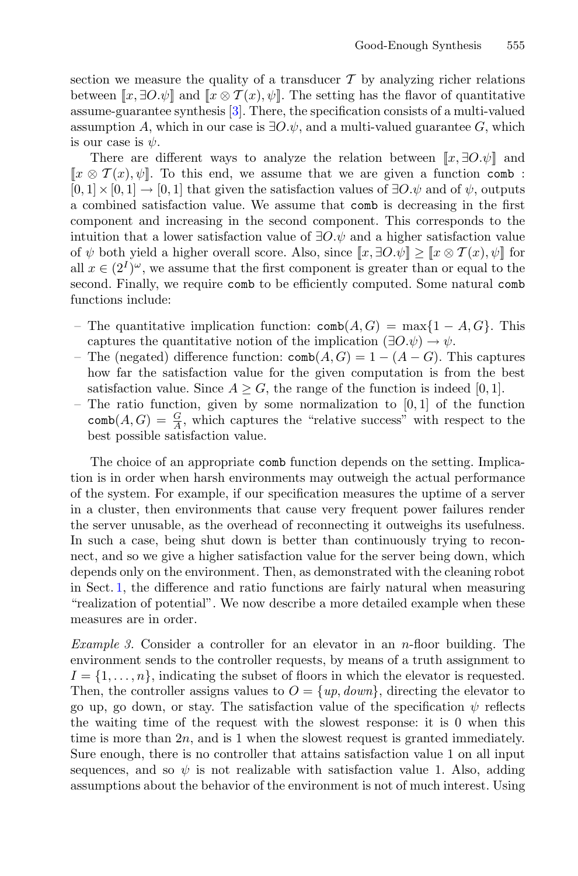section we measure the quality of a transducer  $\mathcal T$  by analyzing richer relations between  $[x, \exists O.\psi]$  and  $[x \otimes T(x), \psi]$ . The setting has the flavor of quantitative assume-guarantee synthesis [\[3\]](#page-20-8). There, the specification consists of a multi-valued assumption A, which in our case is  $\exists O.\psi$ , and a multi-valued guarantee G, which is our case is  $\psi$ .

There are different ways to analyze the relation between  $\llbracket x, \exists O.\psi \rrbracket$  and  $[x \otimes T(x), \psi]$ . To this end, we assume that we are given a function comb:  $[0, 1] \times [0, 1] \rightarrow [0, 1]$  that given the satisfaction values of  $\exists O.\psi$  and of  $\psi$ , outputs a combined satisfaction value. We assume that comb is decreasing in the first component and increasing in the second component. This corresponds to the intuition that a lower satisfaction value of  $\exists O.\psi$  and a higher satisfaction value of  $\psi$  both yield a higher overall score. Also, since  $[x, \exists O.\psi] > [x \otimes T(x), \psi]$  for all  $x \in (2^I)^{\omega}$ , we assume that the first component is greater than or equal to the second. Finally, we require comb to be efficiently computed. Some natural comb functions include:

- The quantitative implication function:  $\text{comb}(A, G) = \max\{1 A, G\}$ . This captures the quantitative notion of the implication  $(\exists O.\psi) \rightarrow \psi$ .
- The (negated) difference function:  $\text{comb}(A, G)=1 (A G)$ . This captures how far the satisfaction value for the given computation is from the best satisfaction value. Since  $A \geq G$ , the range of the function is indeed [0, 1].
- The ratio function, given by some normalization to  $[0, 1]$  of the function  $\text{comb}(A, G) = \frac{G}{A}$ , which captures the "relative success" with respect to the best possible satisfaction value.

The choice of an appropriate comb function depends on the setting. Implication is in order when harsh environments may outweigh the actual performance of the system. For example, if our specification measures the uptime of a server in a cluster, then environments that cause very frequent power failures render the server unusable, as the overhead of reconnecting it outweighs its usefulness. In such a case, being shut down is better than continuously trying to reconnect, and so we give a higher satisfaction value for the server being down, which depends only on the environment. Then, as demonstrated with the cleaning robot in Sect. [1,](#page-0-0) the difference and ratio functions are fairly natural when measuring "realization of potential". We now describe a more detailed example when these measures are in order.

*Example 3.* Consider a controller for an elevator in an n-floor building. The environment sends to the controller requests, by means of a truth assignment to  $I = \{1, \ldots, n\}$ , indicating the subset of floors in which the elevator is requested. Then, the controller assigns values to  $O = \{up, down\}$ , directing the elevator to go up, go down, or stay. The satisfaction value of the specification  $\psi$  reflects the waiting time of the request with the slowest response: it is 0 when this time is more than  $2n$ , and is 1 when the slowest request is granted immediately. Sure enough, there is no controller that attains satisfaction value 1 on all input sequences, and so  $\psi$  is not realizable with satisfaction value 1. Also, adding assumptions about the behavior of the environment is not of much interest. Using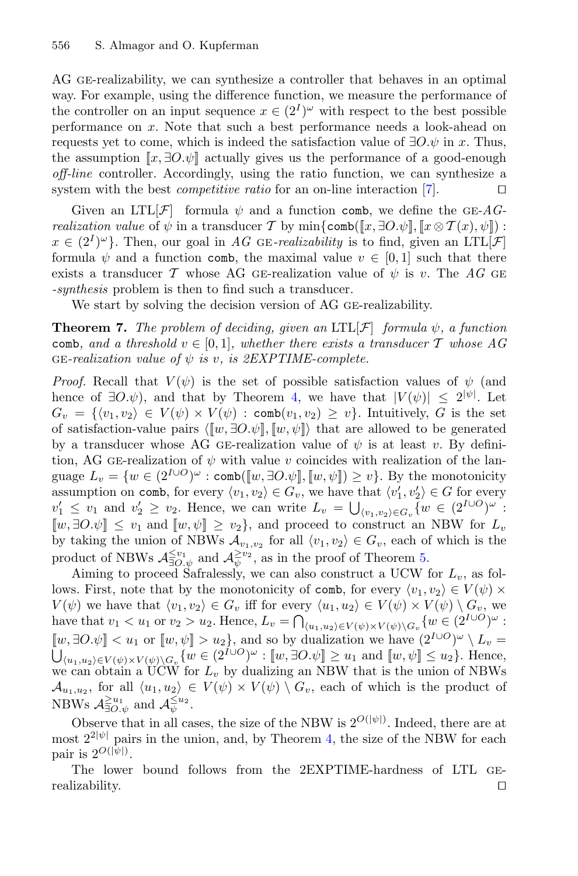AG ge-realizability, we can synthesize a controller that behaves in an optimal way. For example, using the difference function, we measure the performance of the controller on an input sequence  $x \in (2^I)^{\omega}$  with respect to the best possible performance on x. Note that such a best performance needs a look-ahead on requests yet to come, which is indeed the satisfaction value of  $\exists O.\psi$  in x. Thus, the assumption  $\llbracket x, \exists O.\psi \rrbracket$  actually gives us the performance of a good-enough *off-line* controller. Accordingly, using the ratio function, we can synthesize a system with the best *competitive ratio* for an on-line interaction [\[7\]](#page-20-10).

Given an  $LTL[\mathcal{F}]$  formula  $\psi$  and a function comb, we define the GE-AG*realization value* of  $\psi$  in a transducer T by min{comb( $[x, \exists O.\psi]$ ,  $[x \otimes T(x), \psi]$ ):  $x \in (2^I)^{\omega}$ . Then, our goal in AG GE-realizability is to find, given an LTL[F] formula  $\psi$  and a function comb, the maximal value  $v \in [0, 1]$  such that there exists a transducer T whose AG GE-realization value of  $\psi$  is v. The AG GE *-synthesis* problem is then to find such a transducer.

<span id="page-15-0"></span>We start by solving the decision version of AG GE-realizability.

**Theorem 7.** *The problem of deciding, given an*  $LTL[F]$  *formula*  $\psi$ *, a function* comb, and a threshold  $v \in [0, 1]$ , whether there exists a transducer T whose AG GE-realization value of  $\psi$  is v, is 2EXPTIME-complete.

*Proof.* Recall that  $V(\psi)$  is the set of possible satisfaction values of  $\psi$  (and hence of  $\exists O.\psi$ ), and that by Theorem [4,](#page-11-0) we have that  $|V(\psi)| \leq 2^{|\psi|}$ . Let  $G_v = \{ \langle v_1, v_2 \rangle \in V(\psi) \times V(\psi) : \text{comb}(v_1, v_2) \geq v \}.$  Intuitively, G is the set of satisfaction-value pairs  $\langle [w, \exists O. \psi], [w, \psi] \rangle$  that are allowed to be generated by a transducer whose AG GE-realization value of  $\psi$  is at least v. By definition, AG GE-realization of  $\psi$  with value v coincides with realization of the language  $L_v = \{w \in (2^{I \cup O})^{\omega} : \text{comb}(\llbracket w, \exists O.\psi \rrbracket, \llbracket w, \psi \rrbracket) \geq v\}.$  By the monotonicity assumption on comb, for every  $\langle v_1, v_2 \rangle \in G_v$ , we have that  $\langle v_1', v_2' \rangle \in G$  for every  $v'_1 \leq v_1$  and  $v'_2 \geq v_2$ . Hence, we can write  $L_v = \bigcup_{\langle v_1, v_2 \rangle \in G_v} \{w \in (2^{I \cup O})^{\omega} :$  $[\![w, \exists O.\psi]\!] \leq v_1$  and  $[\![w, \psi]\!] \geq v_2$ , and proceed to construct an NBW for  $L_v$ by taking the union of NBWs  $\mathcal{A}_{v_1, v_2}$  for all  $\langle v_1, v_2 \rangle \in G_v$ , each of which is the product of NBWs  $\mathcal{A}_{\exists O,\psi}^{\leq v_1}$  and  $\mathcal{A}_{\psi}^{\geq v_2}$ , as in the proof of Theorem [5.](#page-12-2)

Aiming to proceed Safralessly, we can also construct a UCW for  $L_v$ , as follows. First, note that by the monotonicity of comb, for every  $\langle v_1, v_2 \rangle \in V(\psi) \times$  $V(\psi)$  we have that  $\langle v_1, v_2 \rangle \in G_v$  iff for every  $\langle u_1, u_2 \rangle \in V(\psi) \times V(\psi) \setminus G_v$ , we have that  $v_1 < u_1$  or  $v_2 > u_2$ . Hence,  $L_v = \bigcap_{\langle u_1, u_2 \rangle \in V(\psi) \times V(\psi) \setminus G_v} \{w \in (2^{I \cup O})^{\omega}$ :  $[[w,\exists O.\psi] < u_1 \text{ or } [[w,\psi] > u_2], \text{ and so by dualization we have } (2^{I\cup O})^{\omega} \setminus L_v = \bigcup_{\langle u_1,u_2\rangle \in V(\psi) \times V(\psi) \setminus G_v} \{w \in (2^{I\cup O})^{\omega} : [[w,\exists O.\psi] \geq u_1 \text{ and } [[w,\psi] \leq u_2\}.$  Hence,  $[\![w, \exists O.\psi]\!] \lt u_1$  or  $[\![w, \psi]\!] > u_2$ , and so by dualization we have  $(2^{I\cup O})^{\omega} \setminus L_v =$ we can obtain a UCW for  $L_v$  by dualizing an NBW that is the union of NBWs  $\mathcal{A}_{u_1, u_2}$ , for all  $\langle u_1, u_2 \rangle \in V(\psi) \times V(\psi) \setminus G_v$ , each of which is the product of NBWs  $\mathcal{A}_{\exists O.\psi}^{\geq u_1}$  and  $\mathcal{A}_{\psi}^{\leq u_2}$ .

Observe that in all cases, the size of the NBW is  $2^{O(|\psi|)}$ . Indeed, there are at most  $2^{2|\psi|}$  pairs in the union, and, by Theorem [4,](#page-11-0) the size of the NBW for each pair is  $2^{O(|\psi|)}$ .

The lower bound follows from the 2EXPTIME-hardness of LTL GE-realizability.  $\hfill \Box$ realizability.  $\Box$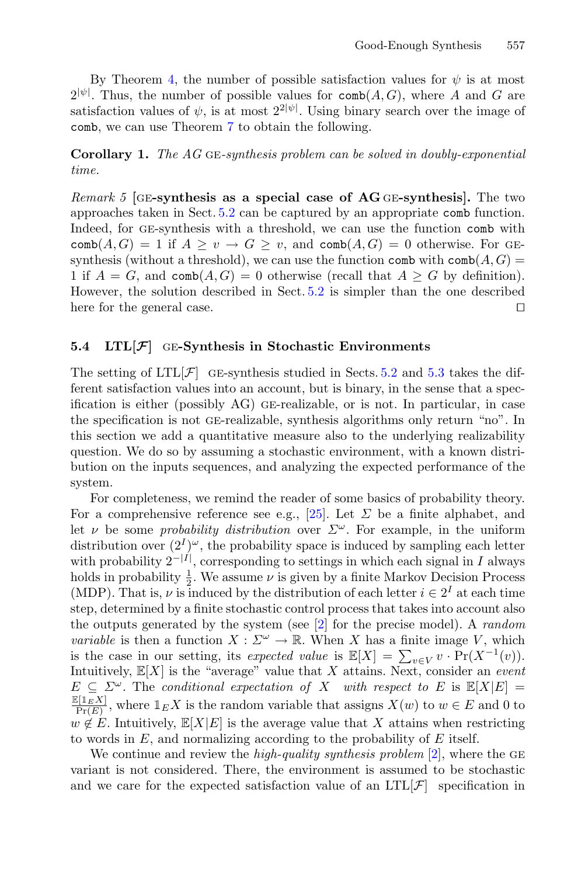By Theorem [4,](#page-11-0) the number of possible satisfaction values for  $\psi$  is at most  $2^{|\psi|}$ . Thus, the number of possible values for  $\mathsf{comb}(A, G)$ , where A and G are satisfaction values of  $\psi$ , is at most  $2^{2|\psi|}$ . Using binary search over the image of comb, we can use Theorem [7](#page-15-0) to obtain the following.

**Corollary 1.** *The AG* ge*-synthesis problem can be solved in doubly-exponential time.*

*Remark 5* **[**ge**-synthesis as a special case of AG** ge**-synthesis].** The two approaches taken in Sect. [5.2](#page-11-2) can be captured by an appropriate comb function. Indeed, for ge-synthesis with a threshold, we can use the function comb with  $\text{comb}(A, G) = 1$  if  $A \geq v \rightarrow G \geq v$ , and  $\text{comb}(A, G) = 0$  otherwise. For GEsynthesis (without a threshold), we can use the function comb with  $\text{comb}(A, G) =$ 1 if  $A = G$ , and  $\text{comb}(A, G) = 0$  otherwise (recall that  $A > G$  by definition). However, the solution described in Sect. [5.2](#page-11-2) is simpler than the one described here for the general case.

#### **5.4 LTL[***F***]** ge**-Synthesis in Stochastic Environments**

The setting of LTL $[\mathcal{F}]$  GE-synthesis studied in Sects. [5.2](#page-11-2) and [5.3](#page-13-0) takes the different satisfaction values into an account, but is binary, in the sense that a specification is either (possibly AG) ge-realizable, or is not. In particular, in case the specification is not ge-realizable, synthesis algorithms only return "no". In this section we add a quantitative measure also to the underlying realizability question. We do so by assuming a stochastic environment, with a known distribution on the inputs sequences, and analyzing the expected performance of the system.

For completeness, we remind the reader of some basics of probability theory. For a comprehensive reference see e.g., [\[25](#page-21-12)]. Let  $\Sigma$  be a finite alphabet, and let  $\nu$  be some *probability distribution* over  $\Sigma^{\omega}$ . For example, in the uniform distribution over  $(2^I)^{\omega}$ , the probability space is induced by sampling each letter with probability  $2^{-|I|}$ , corresponding to settings in which each signal in I always holds in probability  $\frac{1}{2}$ . We assume  $\nu$  is given by a finite Markov Decision Process (MDP). That is,  $\nu$  is induced by the distribution of each letter  $i \in 2^I$  at each time step, determined by a finite stochastic control process that takes into account also the outputs generated by the system (see [\[2\]](#page-20-7) for the precise model). A *random variable* is then a function  $X : \Sigma^{\omega} \to \mathbb{R}$ . When X has a finite image V, which is the case in our setting, its *expected value* is  $\mathbb{E}[X] = \sum_{v \in V} v \cdot \Pr(X^{-1}(v)).$ Intuitively,  $\mathbb{E}[X]$  is the "average" value that X attains. Next, consider an *event*  $E \subseteq \Sigma^{\omega}$ . The *conditional expectation of* X *with respect to* E is  $\mathbb{E}[X|E] =$  $\frac{\mathbb{E}[\mathbb{1}_E X]}{\Pr(E)}$ , where  $\mathbb{1}_E X$  is the random variable that assigns  $X(w)$  to  $w \in E$  and 0 to  $w \notin E$ . Intuitively,  $\mathbb{E}[X|E]$  is the average value that X attains when restricting to words in  $E$ , and normalizing according to the probability of  $E$  itself.

We continue and review the *high-quality synthesis problem* [\[2](#page-20-7)], where the ge variant is not considered. There, the environment is assumed to be stochastic and we care for the expected satisfaction value of an  $LTL[\mathcal{F}]$  specification in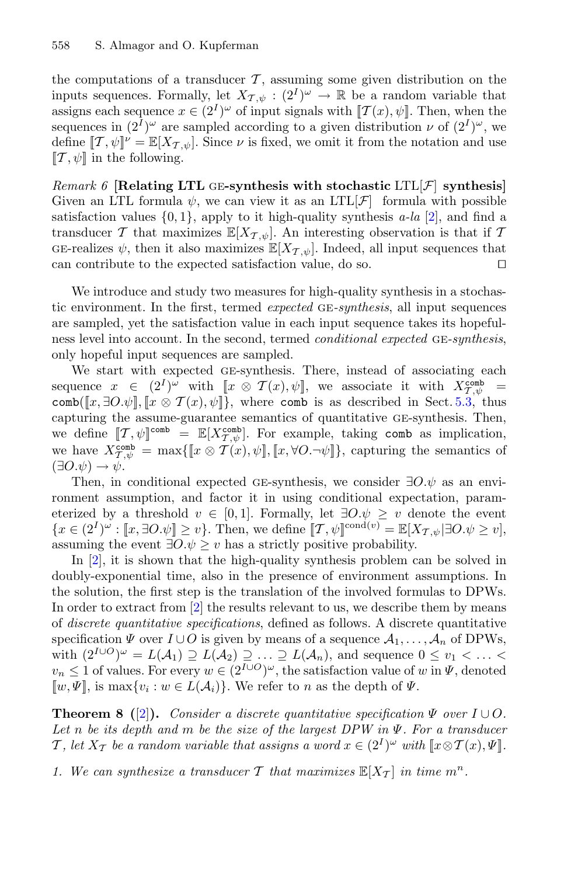the computations of a transducer  $\mathcal T$ , assuming some given distribution on the inputs sequences. Formally, let  $X_{\mathcal{T}, \psi}: (2^I)^{\omega} \to \mathbb{R}$  be a random variable that assigns each sequence  $x \in (2^I)^\omega$  of input signals with  $[\mathcal{T}(x), \psi]$ . Then, when the sequences in  $(2^I)^{\omega}$  are sampled according to a given distribution  $\nu$  of  $(2^I)^{\omega}$ , we define  $[[\mathcal{T}, \psi]]^{\nu} = \mathbb{E}[X_{\mathcal{T}, \psi}]$ . Since  $\nu$  is fixed, we omit it from the notation and use  $\llbracket \mathcal{T}, \psi \rrbracket$  in the following.

*Remark 6* **[Relating LTL** ge**-synthesis with stochastic** LTL[F] **synthesis]** Given an LTL formula  $\psi$ , we can view it as an LTL[F] formula with possible satisfaction values  $\{0, 1\}$ , apply to it high-quality synthesis  $a$ -la  $[2]$ , and find a transducer T that maximizes  $\mathbb{E}[X_{\mathcal{T},\psi}]$ . An interesting observation is that if T GE-realizes  $\psi$ , then it also maximizes  $\mathbb{E}[X_{\mathcal{T}, \psi}]$ . Indeed, all input sequences that can contribute to the expected satisfaction value, do so. can contribute to the expected satisfaction value, do so.

We introduce and study two measures for high-quality synthesis in a stochastic environment. In the first, termed *expected* ge*-synthesis*, all input sequences are sampled, yet the satisfaction value in each input sequence takes its hopefulness level into account. In the second, termed *conditional expected* ge*-synthesis*, only hopeful input sequences are sampled.

We start with expected ge-synthesis. There, instead of associating each sequence  $x \in (2^I)^{\omega}$  with  $\llbracket x \otimes \mathcal{T}(x), \psi \rrbracket$ , we associate it with  $X^{\text{comb}}_{\mathcal{T}, \psi} =$ comb( $[x, \exists O.\psi], [x \otimes T(x), \psi]$ , where comb is as described in Sect. [5.3,](#page-13-0) thus capturing the assume-guarantee semantics of quantitative ge-synthesis. Then, we define  $[[\mathcal{T}, \psi]]^{\text{comb}} = \mathbb{E}[X^{\text{comb}}_{\mathcal{T}, \psi}]$ . For example, taking comb as implication, we have  $X_{\tau,\psi}^{\text{comb}} = \max\{\llbracket x \otimes \mathcal{T}(x), \psi \rrbracket, \llbracket x, \forall O.\neg \psi \rrbracket\},\}$ , capturing the semantics of  $(\exists O.\psi) \rightarrow \psi.$ 

Then, in conditional expected GE-synthesis, we consider  $\exists O.\psi$  as an environment assumption, and factor it in using conditional expectation, parameterized by a threshold  $v \in [0,1]$ . Formally, let  $\exists O.\psi \geq v$  denote the event  ${x \in (2^I)^\omega : [x, \exists O.\psi] \geq v}.$  Then, we define  $[\![\mathcal{T}, \psi]\!]^{\text{cond}(v)} = \mathbb{E}[X_{\mathcal{T}, \psi} | \exists O.\psi \geq v].$ assuming the event  $\exists O.\psi \geq v$  has a strictly positive probability.

In [\[2](#page-20-7)], it is shown that the high-quality synthesis problem can be solved in doubly-exponential time, also in the presence of environment assumptions. In the solution, the first step is the translation of the involved formulas to DPWs. In order to extract from [\[2](#page-20-7)] the results relevant to us, we describe them by means of *discrete quantitative specifications*, defined as follows. A discrete quantitative specification  $\Psi$  over  $I \cup O$  is given by means of a sequence  $A_1, \ldots, A_n$  of DPWs, with  $(2^{I\cup O})^{\omega} = L(A_1) \supseteq L(A_2) \supseteq \ldots \supseteq L(A_n)$ , and sequence  $0 \leq v_1 < \ldots <$  $v_n \leq 1$  of values. For every  $w \in (2^{I \cup O})^{\omega}$ , the satisfaction value of w in  $\Psi$ , denoted  $\llbracket w, \Psi \rrbracket$ , is max $\{v_i : w \in L(\mathcal{A}_i)\}$ . We refer to n as the depth of  $\Psi$ .

<span id="page-17-0"></span>**Theorem 8** ([\[2\]](#page-20-7)). *Consider a discrete quantitative specification*  $\Psi$  *over*  $I \cup O$ *. Let* n *be its depth and* m *be the size of the largest DPW in* Ψ*. For a transducer* T, let  $X_{\mathcal{T}}$  be a random variable that assigns a word  $x \in (2^I)^{\omega}$  with  $\llbracket x \otimes \mathcal{T}(x), \Psi \rrbracket$ .

*1. We can synthesize a transducer*  $\mathcal{T}$  *that maximizes*  $\mathbb{E}[X_{\mathcal{T}}]$  *in time*  $m^n$ *.*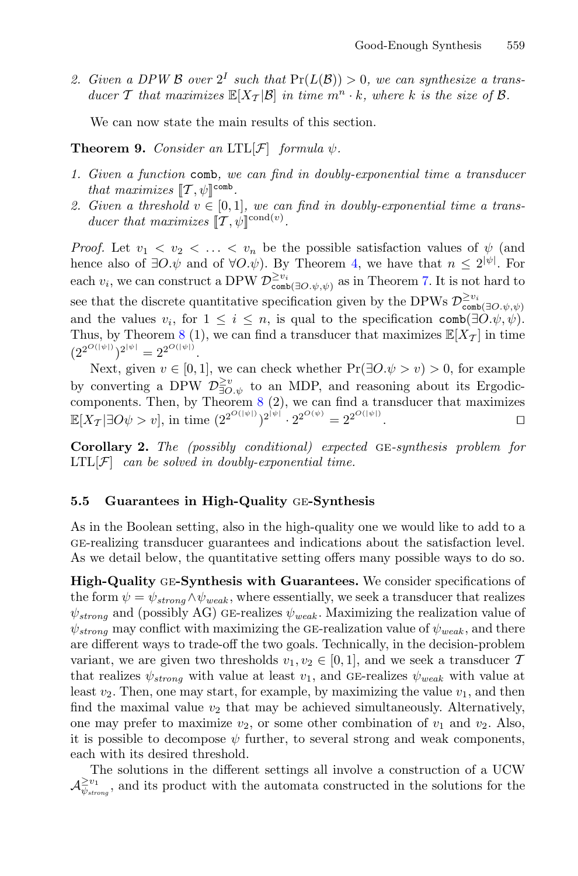2. Given a DPW B over  $2^I$  such that  $Pr(L(\mathcal{B})) > 0$ , we can synthesize a trans*ducer* T *that maximizes*  $\mathbb{E}[X_{\tau}|\mathcal{B}]$  *in time*  $m^n \cdot k$ *, where* k *is the size of*  $\mathcal{B}$ *.* 

We can now state the main results of this section.

**Theorem 9.** *Consider an*  $LTL[\mathcal{F}]$  *formula*  $\psi$ *.* 

- *1. Given a function* comb*, we can find in doubly-exponential time a transducer that maximizes*  $[T, \psi]$ <sup>comb</sup>.
- 2. Given a threshold  $v \in [0, 1]$ , we can find in doubly-exponential time a trans*ducer that maximizes*  $[\![\mathcal{T}, \psi]\!]^{\text{cond}(v)}$ .

*Proof.* Let  $v_1 < v_2 < \ldots < v_n$  be the possible satisfaction values of  $\psi$  (and hence also of  $\exists O.\psi$  and of  $\forall O.\psi$ ). By Theorem [4,](#page-11-0) we have that  $n \leq 2^{|\psi|}$ . For each  $v_i$ , we can construct a DPW  $\mathcal{D}^{\geq v_i}_{\text{comb}(\exists O.\psi,\psi)}$  as in Theorem [7.](#page-15-0) It is not hard to see that the discrete quantitative specification given by the DPWs  $\mathcal{D}^{\geq v_i}_{\text{comb}(\exists O,\psi,\psi)}$ and the values  $v_i$ , for  $1 \leq i \leq n$ , is qual to the specification comb( $\exists O.\psi, \psi$ ). Thus, by Theorem [8](#page-17-0) (1), we can find a transducer that maximizes  $\mathbb{E}[X_{\mathcal{T}}]$  in time  $(2^{2^{O(|\psi|)}})^{2^{|\psi|}} = 2^{2^{O(|\psi|)}}$ .

Next, given  $v \in [0, 1]$ , we can check whether  $Pr(\exists O.\psi > v) > 0$ , for example by converting a DPW  $\mathcal{D}_{\exists O.\psi}^{\geq v}$  to an MDP, and reasoning about its Ergodiccomponents. Then, by Theorem  $8$  (2), we can find a transducer that maximizes  $\mathbb{E}[X_{\mathcal{T}} | \exists O\psi > v],$  in time  $(2^{2^{O(|\psi|)}})^{2^{|\psi|}} \cdot 2^{2^{O(\psi)}} = 2^{2^{O(|\psi|)}}$ .

**Corollary 2.** *The (possibly conditional) expected* ge*-synthesis problem for* LTL[F] *can be solved in doubly-exponential time.*

### **5.5 Guarantees in High-Quality** ge**-Synthesis**

As in the Boolean setting, also in the high-quality one we would like to add to a ge-realizing transducer guarantees and indications about the satisfaction level. As we detail below, the quantitative setting offers many possible ways to do so.

**High-Quality** ge**-Synthesis with Guarantees.** We consider specifications of the form  $\psi = \psi_{strong} \wedge \psi_{weak}$ , where essentially, we seek a transducer that realizes  $\psi_{strong}$  and (possibly AG) GE-realizes  $\psi_{weak}$ . Maximizing the realization value of  $\psi_{strong}$  may conflict with maximizing the GE-realization value of  $\psi_{weak}$ , and there are different ways to trade-off the two goals. Technically, in the decision-problem variant, we are given two thresholds  $v_1, v_2 \in [0, 1]$ , and we seek a transducer T that realizes  $\psi_{strong}$  with value at least  $v_1$ , and GE-realizes  $\psi_{weak}$  with value at least  $v_2$ . Then, one may start, for example, by maximizing the value  $v_1$ , and then find the maximal value  $v_2$  that may be achieved simultaneously. Alternatively, one may prefer to maximize  $v_2$ , or some other combination of  $v_1$  and  $v_2$ . Also, it is possible to decompose  $\psi$  further, to several strong and weak components, each with its desired threshold.

The solutions in the different settings all involve a construction of a UCW  $\mathcal{A}_{\psi_{strong}}^{\geq v_1}$ , and its product with the automata constructed in the solutions for the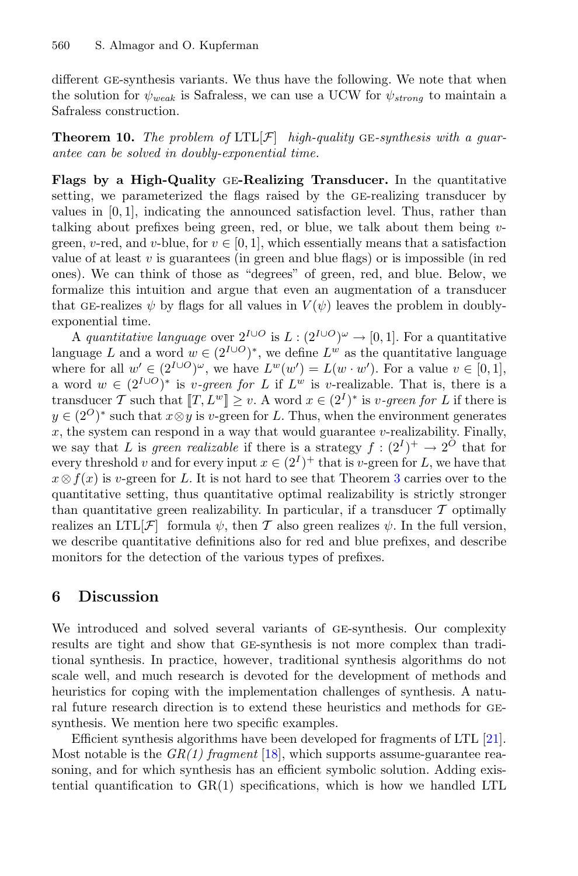different ge-synthesis variants. We thus have the following. We note that when the solution for  $\psi_{weak}$  is Safraless, we can use a UCW for  $\psi_{strong}$  to maintain a Safraless construction.

**Theorem 10.** *The problem of* LTL[F] *high-quality* ge*-synthesis with a guarantee can be solved in doubly-exponential time.*

**Flags by a High-Quality** ge**-Realizing Transducer.** In the quantitative setting, we parameterized the flags raised by the ge-realizing transducer by values in  $[0, 1]$ , indicating the announced satisfaction level. Thus, rather than talking about prefixes being green, red, or blue, we talk about them being vgreen, v-red, and v-blue, for  $v \in [0, 1]$ , which essentially means that a satisfaction value of at least  $v$  is guarantees (in green and blue flags) or is impossible (in red ones). We can think of those as "degrees" of green, red, and blue. Below, we formalize this intuition and argue that even an augmentation of a transducer that GE-realizes  $\psi$  by flags for all values in  $V(\psi)$  leaves the problem in doublyexponential time.

A *quantitative language* over  $2^{I\cup O}$  is  $L: (2^{I\cup O})^{\omega} \to [0, 1]$ . For a quantitative language L and a word  $w \in (2^{I\cup O})^*$ , we define  $L^w$  as the quantitative language where for all  $w' \in (2^{I\cup O})^{\omega}$ , we have  $L^w(w') = L(w \cdot w')$ . For a value  $v \in [0,1]$ , a word  $w \in (2^{I\cup O})^*$  is v-green for L if  $L^w$  is v-realizable. That is, there is a transducer T such that  $[[T, L^w]] > v$ . A word  $x \in (2^I)^*$  is v-green for L if there is  $y \in (2^O)^*$  such that  $x \otimes y$  is v-green for L. Thus, when the environment generates  $x$ , the system can respond in a way that would guarantee v-realizability. Finally, we say that L is *green realizable* if there is a strategy  $f : (2^I)^+ \rightarrow 2^O$  that for every threshold v and for every input  $x \in (2^I)^+$  that is v-green for L, we have that  $x \otimes f(x)$  is v-green for L. It is not hard to see that Theorem [3](#page-8-2) carries over to the quantitative setting, thus quantitative optimal realizability is strictly stronger than quantitative green realizability. In particular, if a transducer  $T$  optimally realizes an LTL[F] formula  $\psi$ , then T also green realizes  $\psi$ . In the full version, we describe quantitative definitions also for red and blue prefixes, and describe monitors for the detection of the various types of prefixes.

# **6 Discussion**

We introduced and solved several variants of GE-synthesis. Our complexity results are tight and show that ge-synthesis is not more complex than traditional synthesis. In practice, however, traditional synthesis algorithms do not scale well, and much research is devoted for the development of methods and heuristics for coping with the implementation challenges of synthesis. A natural future research direction is to extend these heuristics and methods for gesynthesis. We mention here two specific examples.

Efficient synthesis algorithms have been developed for fragments of LTL [\[21\]](#page-21-13). Most notable is the *GR(1) fragment* [\[18](#page-21-14)], which supports assume-guarantee reasoning, and for which synthesis has an efficient symbolic solution. Adding existential quantification to GR(1) specifications, which is how we handled LTL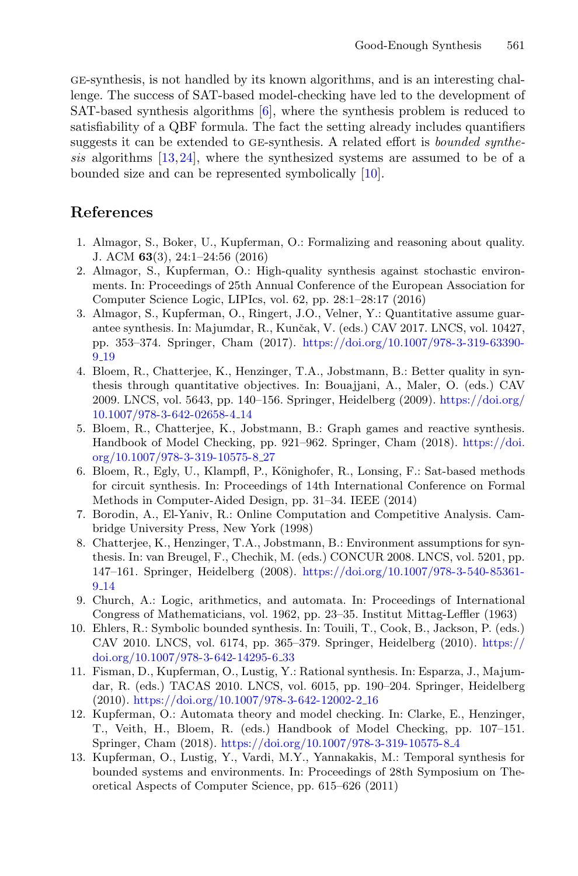ge-synthesis, is not handled by its known algorithms, and is an interesting challenge. The success of SAT-based model-checking have led to the development of SAT-based synthesis algorithms [\[6\]](#page-20-11), where the synthesis problem is reduced to satisfiability of a QBF formula. The fact the setting already includes quantifiers suggests it can be extended to ge-synthesis. A related effort is *bounded synthesis* algorithms [\[13,](#page-20-3)[24\]](#page-21-15), where the synthesized systems are assumed to be of a bounded size and can be represented symbolically [\[10](#page-20-12)].

# **References**

- <span id="page-20-6"></span>1. Almagor, S., Boker, U., Kupferman, O.: Formalizing and reasoning about quality. J. ACM **63**(3), 24:1–24:56 (2016)
- <span id="page-20-7"></span>2. Almagor, S., Kupferman, O.: High-quality synthesis against stochastic environments. In: Proceedings of 25th Annual Conference of the European Association for Computer Science Logic, LIPIcs, vol. 62, pp. 28:1–28:17 (2016)
- <span id="page-20-8"></span>3. Almagor, S., Kupferman, O., Ringert, J.O., Velner, Y.: Quantitative assume guarantee synthesis. In: Majumdar, R., Kunˇcak, V. (eds.) CAV 2017. LNCS, vol. 10427, pp. 353–374. Springer, Cham (2017). [https://doi.org/10.1007/978-3-319-63390-](https://doi.org/10.1007/978-3-319-63390-9_19) 9 [19](https://doi.org/10.1007/978-3-319-63390-9_19)
- <span id="page-20-5"></span>4. Bloem, R., Chatterjee, K., Henzinger, T.A., Jobstmann, B.: Better quality in synthesis through quantitative objectives. In: Bouajjani, A., Maler, O. (eds.) CAV 2009. LNCS, vol. 5643, pp. 140–156. Springer, Heidelberg (2009). [https://doi.org/](https://doi.org/10.1007/978-3-642-02658-4_14) [10.1007/978-3-642-02658-4](https://doi.org/10.1007/978-3-642-02658-4_14) 14
- <span id="page-20-1"></span>5. Bloem, R., Chatterjee, K., Jobstmann, B.: Graph games and reactive synthesis. Handbook of Model Checking, pp. 921–962. Springer, Cham (2018). [https://doi.](https://doi.org/10.1007/978-3-319-10575-8_27) [org/10.1007/978-3-319-10575-8](https://doi.org/10.1007/978-3-319-10575-8_27) 27
- <span id="page-20-11"></span>6. Bloem, R., Egly, U., Klampfl, P., Könighofer, R., Lonsing, F.: Sat-based methods for circuit synthesis. In: Proceedings of 14th International Conference on Formal Methods in Computer-Aided Design, pp. 31–34. IEEE (2014)
- <span id="page-20-10"></span>7. Borodin, A., El-Yaniv, R.: Online Computation and Competitive Analysis. Cambridge University Press, New York (1998)
- <span id="page-20-2"></span>8. Chatterjee, K., Henzinger, T.A., Jobstmann, B.: Environment assumptions for synthesis. In: van Breugel, F., Chechik, M. (eds.) CONCUR 2008. LNCS, vol. 5201, pp. 147–161. Springer, Heidelberg (2008). [https://doi.org/10.1007/978-3-540-85361-](https://doi.org/10.1007/978-3-540-85361-9_14) 9 [14](https://doi.org/10.1007/978-3-540-85361-9_14)
- <span id="page-20-0"></span>9. Church, A.: Logic, arithmetics, and automata. In: Proceedings of International Congress of Mathematicians, vol. 1962, pp. 23–35. Institut Mittag-Leffler (1963)
- <span id="page-20-12"></span>10. Ehlers, R.: Symbolic bounded synthesis. In: Touili, T., Cook, B., Jackson, P. (eds.) CAV 2010. LNCS, vol. 6174, pp. 365–379. Springer, Heidelberg (2010). [https://](https://doi.org/10.1007/978-3-642-14295-6_33) [doi.org/10.1007/978-3-642-14295-6](https://doi.org/10.1007/978-3-642-14295-6_33) 33
- <span id="page-20-4"></span>11. Fisman, D., Kupferman, O., Lustig, Y.: Rational synthesis. In: Esparza, J., Majumdar, R. (eds.) TACAS 2010. LNCS, vol. 6015, pp. 190–204. Springer, Heidelberg (2010). [https://doi.org/10.1007/978-3-642-12002-2](https://doi.org/10.1007/978-3-642-12002-2_16) 16
- <span id="page-20-9"></span>12. Kupferman, O.: Automata theory and model checking. In: Clarke, E., Henzinger, T., Veith, H., Bloem, R. (eds.) Handbook of Model Checking, pp. 107–151. Springer, Cham (2018). [https://doi.org/10.1007/978-3-319-10575-8](https://doi.org/10.1007/978-3-319-10575-8_4) 4
- <span id="page-20-3"></span>13. Kupferman, O., Lustig, Y., Vardi, M.Y., Yannakakis, M.: Temporal synthesis for bounded systems and environments. In: Proceedings of 28th Symposium on Theoretical Aspects of Computer Science, pp. 615–626 (2011)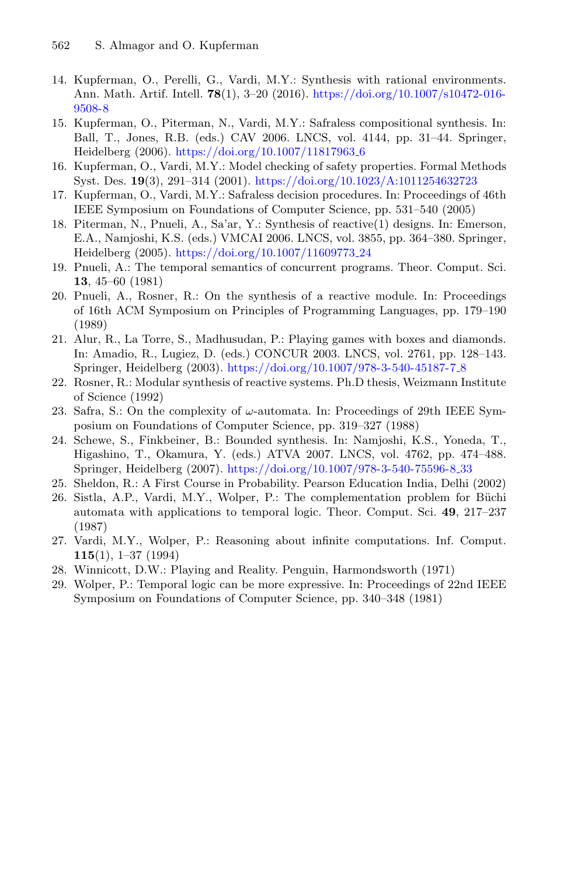- <span id="page-21-1"></span>14. Kupferman, O., Perelli, G., Vardi, M.Y.: Synthesis with rational environments. Ann. Math. Artif. Intell. **78**(1), 3–20 (2016). [https://doi.org/10.1007/s10472-016-](https://doi.org/10.1007/s10472-016-9508-8) [9508-8](https://doi.org/10.1007/s10472-016-9508-8)
- <span id="page-21-4"></span>15. Kupferman, O., Piterman, N., Vardi, M.Y.: Safraless compositional synthesis. In: Ball, T., Jones, R.B. (eds.) CAV 2006. LNCS, vol. 4144, pp. 31–44. Springer, Heidelberg (2006). [https://doi.org/10.1007/11817963](https://doi.org/10.1007/11817963_6) 6
- <span id="page-21-11"></span>16. Kupferman, O., Vardi, M.Y.: Model checking of safety properties. Formal Methods Syst. Des. **19**(3), 291–314 (2001). <https://doi.org/10.1023/A:1011254632723>
- <span id="page-21-5"></span>17. Kupferman, O., Vardi, M.Y.: Safraless decision procedures. In: Proceedings of 46th IEEE Symposium on Foundations of Computer Science, pp. 531–540 (2005)
- <span id="page-21-14"></span>18. Piterman, N., Pnueli, A., Sa'ar, Y.: Synthesis of reactive(1) designs. In: Emerson, E.A., Namjoshi, K.S. (eds.) VMCAI 2006. LNCS, vol. 3855, pp. 364–380. Springer, Heidelberg (2005). [https://doi.org/10.1007/11609773](https://doi.org/10.1007/11609773_24) 24
- <span id="page-21-6"></span>19. Pnueli, A.: The temporal semantics of concurrent programs. Theor. Comput. Sci. **13**, 45–60 (1981)
- <span id="page-21-0"></span>20. Pnueli, A., Rosner, R.: On the synthesis of a reactive module. In: Proceedings of 16th ACM Symposium on Principles of Programming Languages, pp. 179–190 (1989)
- <span id="page-21-13"></span>21. Alur, R., La Torre, S., Madhusudan, P.: Playing games with boxes and diamonds. In: Amadio, R., Lugiez, D. (eds.) CONCUR 2003. LNCS, vol. 2761, pp. 128–143. Springer, Heidelberg (2003). [https://doi.org/10.1007/978-3-540-45187-7](https://doi.org/10.1007/978-3-540-45187-7_8) 8
- <span id="page-21-10"></span>22. Rosner, R.: Modular synthesis of reactive systems. Ph.D thesis, Weizmann Institute of Science (1992)
- <span id="page-21-8"></span>23. Safra, S.: On the complexity of  $\omega$ -automata. In: Proceedings of 29th IEEE Symposium on Foundations of Computer Science, pp. 319–327 (1988)
- <span id="page-21-15"></span>24. Schewe, S., Finkbeiner, B.: Bounded synthesis. In: Namjoshi, K.S., Yoneda, T., Higashino, T., Okamura, Y. (eds.) ATVA 2007. LNCS, vol. 4762, pp. 474–488. Springer, Heidelberg (2007). [https://doi.org/10.1007/978-3-540-75596-8](https://doi.org/10.1007/978-3-540-75596-8_33) 33
- <span id="page-21-12"></span>25. Sheldon, R.: A First Course in Probability. Pearson Education India, Delhi (2002)
- <span id="page-21-3"></span>26. Sistla, A.P., Vardi, M.Y., Wolper, P.: The complementation problem for Büchi automata with applications to temporal logic. Theor. Comput. Sci. **49**, 217–237 (1987)
- <span id="page-21-7"></span>27. Vardi, M.Y., Wolper, P.: Reasoning about infinite computations. Inf. Comput. **115**(1), 1–37 (1994)
- <span id="page-21-2"></span>28. Winnicott, D.W.: Playing and Reality. Penguin, Harmondsworth (1971)
- <span id="page-21-9"></span>29. Wolper, P.: Temporal logic can be more expressive. In: Proceedings of 22nd IEEE Symposium on Foundations of Computer Science, pp. 340–348 (1981)